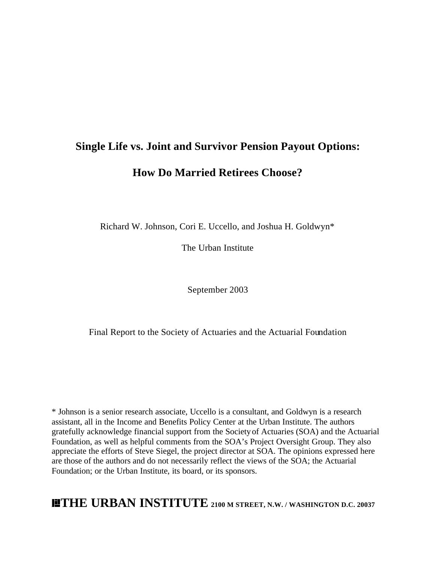# **Single Life vs. Joint and Survivor Pension Payout Options: How Do Married Retirees Choose?**

Richard W. Johnson, Cori E. Uccello, and Joshua H. Goldwyn\*

The Urban Institute

September 2003

Final Report to the Society of Actuaries and the Actuarial Foundation

\* Johnson is a senior research associate, Uccello is a consultant, and Goldwyn is a research assistant, all in the Income and Benefits Policy Center at the Urban Institute. The authors gratefully acknowledge financial support from the Society of Actuaries (SOA) and the Actuarial Foundation, as well as helpful comments from the SOA's Project Oversight Group. They also appreciate the efforts of Steve Siegel, the project director at SOA. The opinions expressed here are those of the authors and do not necessarily reflect the views of the SOA; the Actuarial Foundation; or the Urban Institute, its board, or its sponsors.

**THE URBAN INSTITUTE 2100 M STREET, N.W. / WASHINGTON D.C. 20037**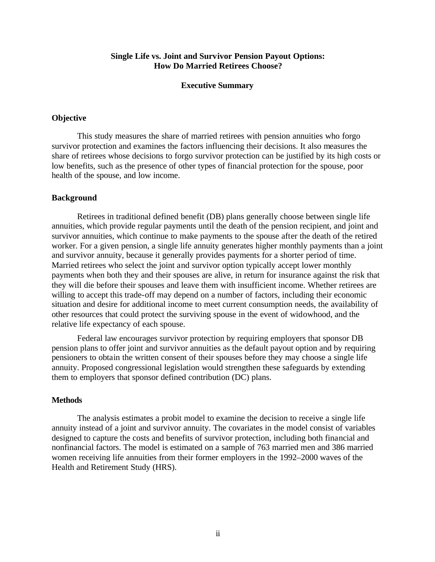### **Single Life vs. Joint and Survivor Pension Payout Options: How Do Married Retirees Choose?**

#### **Executive Summary**

#### **Objective**

This study measures the share of married retirees with pension annuities who forgo survivor protection and examines the factors influencing their decisions. It also measures the share of retirees whose decisions to forgo survivor protection can be justified by its high costs or low benefits, such as the presence of other types of financial protection for the spouse, poor health of the spouse, and low income.

#### **Background**

Retirees in traditional defined benefit (DB) plans generally choose between single life annuities, which provide regular payments until the death of the pension recipient, and joint and survivor annuities, which continue to make payments to the spouse after the death of the retired worker. For a given pension, a single life annuity generates higher monthly payments than a joint and survivor annuity, because it generally provides payments for a shorter period of time. Married retirees who select the joint and survivor option typically accept lower monthly payments when both they and their spouses are alive, in return for insurance against the risk that they will die before their spouses and leave them with insufficient income. Whether retirees are willing to accept this trade-off may depend on a number of factors, including their economic situation and desire for additional income to meet current consumption needs, the availability of other resources that could protect the surviving spouse in the event of widowhood, and the relative life expectancy of each spouse.

Federal law encourages survivor protection by requiring employers that sponsor DB pension plans to offer joint and survivor annuities as the default payout option and by requiring pensioners to obtain the written consent of their spouses before they may choose a single life annuity. Proposed congressional legislation would strengthen these safeguards by extending them to employers that sponsor defined contribution (DC) plans.

#### **Methods**

The analysis estimates a probit model to examine the decision to receive a single life annuity instead of a joint and survivor annuity. The covariates in the model consist of variables designed to capture the costs and benefits of survivor protection, including both financial and nonfinancial factors. The model is estimated on a sample of 763 married men and 386 married women receiving life annuities from their former employers in the 1992–2000 waves of the Health and Retirement Study (HRS).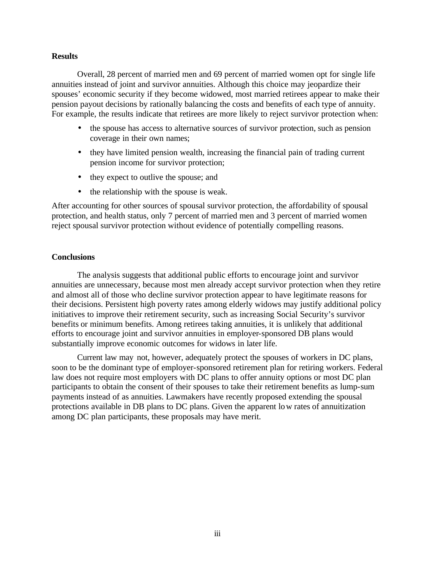#### **Results**

Overall, 28 percent of married men and 69 percent of married women opt for single life annuities instead of joint and survivor annuities. Although this choice may jeopardize their spouses' economic security if they become widowed, most married retirees appear to make their pension payout decisions by rationally balancing the costs and benefits of each type of annuity. For example, the results indicate that retirees are more likely to reject survivor protection when:

- the spouse has access to alternative sources of survivor protection, such as pension coverage in their own names;
- they have limited pension wealth, increasing the financial pain of trading current pension income for survivor protection;
- they expect to outlive the spouse; and
- the relationship with the spouse is weak.

After accounting for other sources of spousal survivor protection, the affordability of spousal protection, and health status, only 7 percent of married men and 3 percent of married women reject spousal survivor protection without evidence of potentially compelling reasons.

#### **Conclusions**

The analysis suggests that additional public efforts to encourage joint and survivor annuities are unnecessary, because most men already accept survivor protection when they retire and almost all of those who decline survivor protection appear to have legitimate reasons for their decisions. Persistent high poverty rates among elderly widows may justify additional policy initiatives to improve their retirement security, such as increasing Social Security's survivor benefits or minimum benefits. Among retirees taking annuities, it is unlikely that additional efforts to encourage joint and survivor annuities in employer-sponsored DB plans would substantially improve economic outcomes for widows in later life.

Current law may not, however, adequately protect the spouses of workers in DC plans, soon to be the dominant type of employer-sponsored retirement plan for retiring workers. Federal law does not require most employers with DC plans to offer annuity options or most DC plan participants to obtain the consent of their spouses to take their retirement benefits as lump-sum payments instead of as annuities. Lawmakers have recently proposed extending the spousal protections available in DB plans to DC plans. Given the apparent low rates of annuitization among DC plan participants, these proposals may have merit.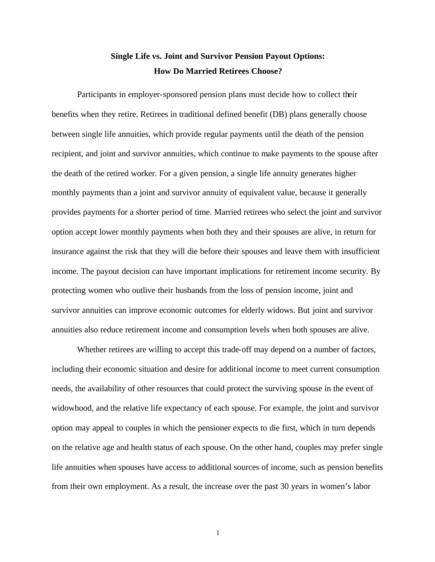## **Single Life vs. Joint and Survivor Pension Payout Options: How Do Married Retirees Choose?**

Participants in employer-sponsored pension plans must decide how to collect their benefits when they retire. Retirees in traditional defined benefit (DB) plans generally choose between single life annuities, which provide regular payments until the death of the pension recipient, and joint and survivor annuities, which continue to make payments to the spouse after the death of the retired worker. For a given pension, a single life annuity generates higher monthly payments than a joint and survivor annuity of equivalent value, because it generally provides payments for a shorter period of time. Married retirees who select the joint and survivor option accept lower monthly payments when both they and their spouses are alive, in return for insurance against the risk that they will die before their spouses and leave them with insufficient income. The payout decision can have important implications for retirement income security. By protecting women who outlive their husbands from the loss of pension income, joint and survivor annuities can improve economic outcomes for elderly widows. But joint and survivor annuities also reduce retirement income and consumption levels when both spouses are alive.

Whether retirees are willing to accept this trade-off may depend on a number of factors, including their economic situation and desire for additional income to meet current consumption needs, the availability of other resources that could protect the surviving spouse in the event of widowhood, and the relative life expectancy of each spouse. For example, the joint and survivor option may appeal to couples in which the pensioner expects to die first, which in turn depends on the relative age and health status of each spouse. On the other hand, couples may prefer single life annuities when spouses have access to additional sources of income, such as pension benefits from their own employment. As a result, the increase over the past 30 years in women's labor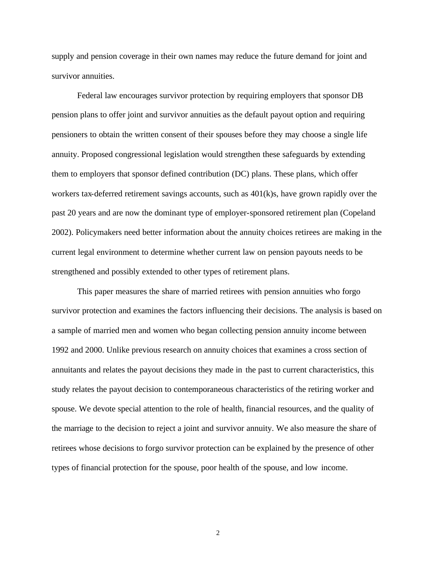supply and pension coverage in their own names may reduce the future demand for joint and survivor annuities.

Federal law encourages survivor protection by requiring employers that sponsor DB pension plans to offer joint and survivor annuities as the default payout option and requiring pensioners to obtain the written consent of their spouses before they may choose a single life annuity. Proposed congressional legislation would strengthen these safeguards by extending them to employers that sponsor defined contribution (DC) plans. These plans, which offer workers tax-deferred retirement savings accounts, such as 401(k)s, have grown rapidly over the past 20 years and are now the dominant type of employer-sponsored retirement plan (Copeland 2002). Policymakers need better information about the annuity choices retirees are making in the current legal environment to determine whether current law on pension payouts needs to be strengthened and possibly extended to other types of retirement plans.

This paper measures the share of married retirees with pension annuities who forgo survivor protection and examines the factors influencing their decisions. The analysis is based on a sample of married men and women who began collecting pension annuity income between 1992 and 2000. Unlike previous research on annuity choices that examines a cross section of annuitants and relates the payout decisions they made in the past to current characteristics, this study relates the payout decision to contemporaneous characteristics of the retiring worker and spouse. We devote special attention to the role of health, financial resources, and the quality of the marriage to the decision to reject a joint and survivor annuity. We also measure the share of retirees whose decisions to forgo survivor protection can be explained by the presence of other types of financial protection for the spouse, poor health of the spouse, and low income.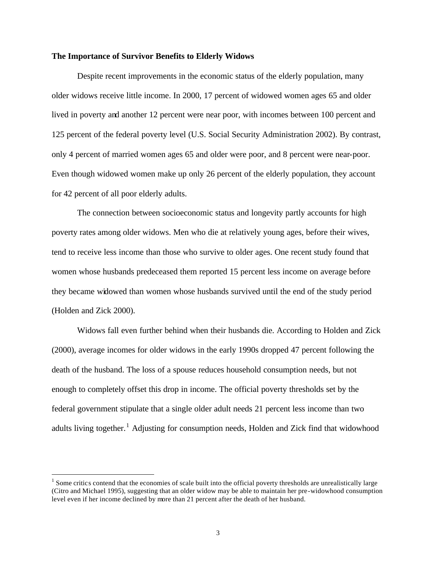#### **The Importance of Survivor Benefits to Elderly Widows**

Despite recent improvements in the economic status of the elderly population, many older widows receive little income. In 2000, 17 percent of widowed women ages 65 and older lived in poverty and another 12 percent were near poor, with incomes between 100 percent and 125 percent of the federal poverty level (U.S. Social Security Administration 2002). By contrast, only 4 percent of married women ages 65 and older were poor, and 8 percent were near-poor. Even though widowed women make up only 26 percent of the elderly population, they account for 42 percent of all poor elderly adults.

The connection between socioeconomic status and longevity partly accounts for high poverty rates among older widows. Men who die at relatively young ages, before their wives, tend to receive less income than those who survive to older ages. One recent study found that women whose husbands predeceased them reported 15 percent less income on average before they became widowed than women whose husbands survived until the end of the study period (Holden and Zick 2000).

Widows fall even further behind when their husbands die. According to Holden and Zick (2000), average incomes for older widows in the early 1990s dropped 47 percent following the death of the husband. The loss of a spouse reduces household consumption needs, but not enough to completely offset this drop in income. The official poverty thresholds set by the federal government stipulate that a single older adult needs 21 percent less income than two adults living together.<sup>1</sup> Adjusting for consumption needs, Holden and Zick find that widowhood

 $<sup>1</sup>$  Some critics contend that the economies of scale built into the official poverty thresholds are unrealistically large</sup> (Citro and Michael 1995), suggesting that an older widow may be able to maintain her pre-widowhood consumption level even if her income declined by more than 21 percent after the death of her husband.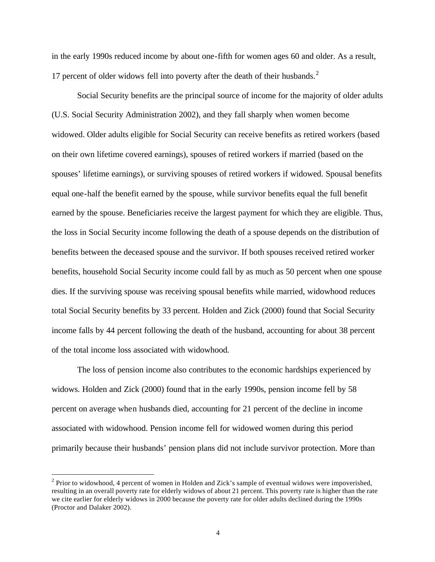in the early 1990s reduced income by about one-fifth for women ages 60 and older. As a result, 17 percent of older widows fell into poverty after the death of their husbands.<sup>2</sup>

Social Security benefits are the principal source of income for the majority of older adults (U.S. Social Security Administration 2002), and they fall sharply when women become widowed. Older adults eligible for Social Security can receive benefits as retired workers (based on their own lifetime covered earnings), spouses of retired workers if married (based on the spouses' lifetime earnings), or surviving spouses of retired workers if widowed. Spousal benefits equal one-half the benefit earned by the spouse, while survivor benefits equal the full benefit earned by the spouse. Beneficiaries receive the largest payment for which they are eligible. Thus, the loss in Social Security income following the death of a spouse depends on the distribution of benefits between the deceased spouse and the survivor. If both spouses received retired worker benefits, household Social Security income could fall by as much as 50 percent when one spouse dies. If the surviving spouse was receiving spousal benefits while married, widowhood reduces total Social Security benefits by 33 percent. Holden and Zick (2000) found that Social Security income falls by 44 percent following the death of the husband, accounting for about 38 percent of the total income loss associated with widowhood.

The loss of pension income also contributes to the economic hardships experienced by widows. Holden and Zick (2000) found that in the early 1990s, pension income fell by 58 percent on average when husbands died, accounting for 21 percent of the decline in income associated with widowhood. Pension income fell for widowed women during this period primarily because their husbands' pension plans did not include survivor protection. More than

 $2$  Prior to widowhood, 4 percent of women in Holden and Zick's sample of eventual widows were impoverished, resulting in an overall poverty rate for elderly widows of about 21 percent. This poverty rate is higher than the rate we cite earlier for elderly widows in 2000 because the poverty rate for older adults declined during the 1990s (Proctor and Dalaker 2002).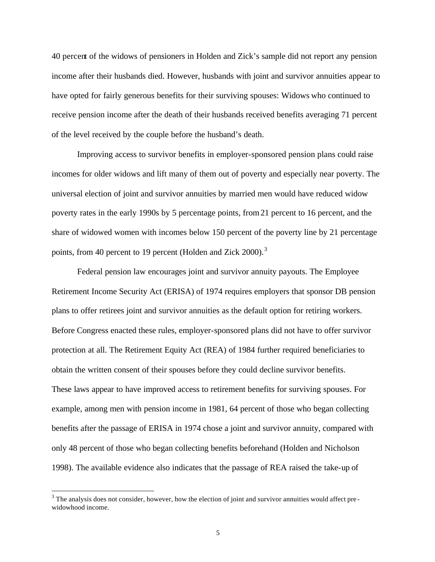40 percent of the widows of pensioners in Holden and Zick's sample did not report any pension income after their husbands died. However, husbands with joint and survivor annuities appear to have opted for fairly generous benefits for their surviving spouses: Widows who continued to receive pension income after the death of their husbands received benefits averaging 71 percent of the level received by the couple before the husband's death.

Improving access to survivor benefits in employer-sponsored pension plans could raise incomes for older widows and lift many of them out of poverty and especially near poverty. The universal election of joint and survivor annuities by married men would have reduced widow poverty rates in the early 1990s by 5 percentage points, from 21 percent to 16 percent, and the share of widowed women with incomes below 150 percent of the poverty line by 21 percentage points, from 40 percent to 19 percent (Holden and Zick 2000).<sup>3</sup>

Federal pension law encourages joint and survivor annuity payouts. The Employee Retirement Income Security Act (ERISA) of 1974 requires employers that sponsor DB pension plans to offer retirees joint and survivor annuities as the default option for retiring workers. Before Congress enacted these rules, employer-sponsored plans did not have to offer survivor protection at all. The Retirement Equity Act (REA) of 1984 further required beneficiaries to obtain the written consent of their spouses before they could decline survivor benefits. These laws appear to have improved access to retirement benefits for surviving spouses. For example, among men with pension income in 1981, 64 percent of those who began collecting benefits after the passage of ERISA in 1974 chose a joint and survivor annuity, compared with only 48 percent of those who began collecting benefits beforehand (Holden and Nicholson 1998). The available evidence also indicates that the passage of REA raised the take-up of

 $3$  The analysis does not consider, however, how the election of joint and survivor annuities would affect prewidowhood income.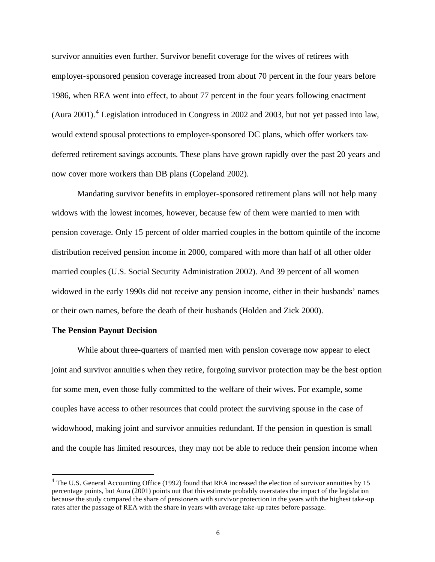survivor annuities even further. Survivor benefit coverage for the wives of retirees with employer-sponsored pension coverage increased from about 70 percent in the four years before 1986, when REA went into effect, to about 77 percent in the four years following enactment (Aura 2001).<sup>4</sup> Legislation introduced in Congress in 2002 and 2003, but not yet passed into law, would extend spousal protections to employer-sponsored DC plans, which offer workers taxdeferred retirement savings accounts. These plans have grown rapidly over the past 20 years and now cover more workers than DB plans (Copeland 2002).

Mandating survivor benefits in employer-sponsored retirement plans will not help many widows with the lowest incomes, however, because few of them were married to men with pension coverage. Only 15 percent of older married couples in the bottom quintile of the income distribution received pension income in 2000, compared with more than half of all other older married couples (U.S. Social Security Administration 2002). And 39 percent of all women widowed in the early 1990s did not receive any pension income, either in their husbands' names or their own names, before the death of their husbands (Holden and Zick 2000).

#### **The Pension Payout Decision**

 $\overline{a}$ 

While about three-quarters of married men with pension coverage now appear to elect joint and survivor annuitie s when they retire, forgoing survivor protection may be the best option for some men, even those fully committed to the welfare of their wives. For example, some couples have access to other resources that could protect the surviving spouse in the case of widowhood, making joint and survivor annuities redundant. If the pension in question is small and the couple has limited resources, they may not be able to reduce their pension income when

<sup>&</sup>lt;sup>4</sup> The U.S. General Accounting Office (1992) found that REA increased the election of survivor annuities by 15 percentage points, but Aura (2001) points out that this estimate probably overstates the impact of the legislation because the study compared the share of pensioners with survivor protection in the years with the highest take-up rates after the passage of REA with the share in years with average take-up rates before passage.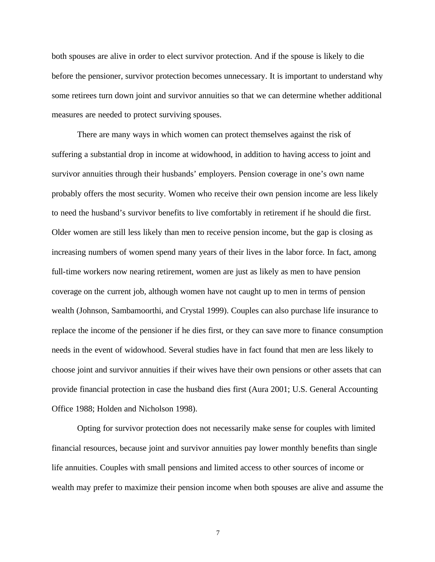both spouses are alive in order to elect survivor protection. And if the spouse is likely to die before the pensioner, survivor protection becomes unnecessary. It is important to understand why some retirees turn down joint and survivor annuities so that we can determine whether additional measures are needed to protect surviving spouses.

There are many ways in which women can protect themselves against the risk of suffering a substantial drop in income at widowhood, in addition to having access to joint and survivor annuities through their husbands' employers. Pension coverage in one's own name probably offers the most security. Women who receive their own pension income are less likely to need the husband's survivor benefits to live comfortably in retirement if he should die first. Older women are still less likely than men to receive pension income, but the gap is closing as increasing numbers of women spend many years of their lives in the labor force. In fact, among full-time workers now nearing retirement, women are just as likely as men to have pension coverage on the current job, although women have not caught up to men in terms of pension wealth (Johnson, Sambamoorthi, and Crystal 1999). Couples can also purchase life insurance to replace the income of the pensioner if he dies first, or they can save more to finance consumption needs in the event of widowhood. Several studies have in fact found that men are less likely to choose joint and survivor annuities if their wives have their own pensions or other assets that can provide financial protection in case the husband dies first (Aura 2001; U.S. General Accounting Office 1988; Holden and Nicholson 1998).

Opting for survivor protection does not necessarily make sense for couples with limited financial resources, because joint and survivor annuities pay lower monthly benefits than single life annuities. Couples with small pensions and limited access to other sources of income or wealth may prefer to maximize their pension income when both spouses are alive and assume the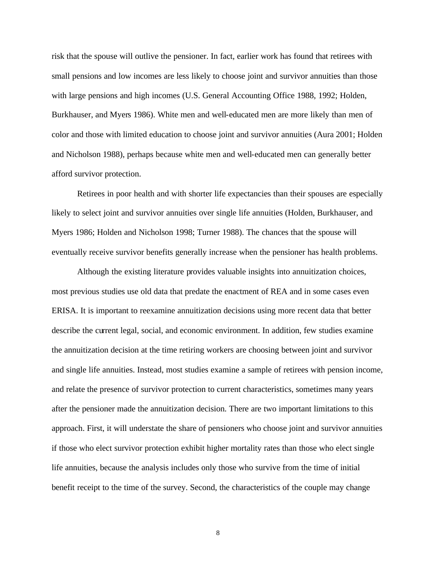risk that the spouse will outlive the pensioner. In fact, earlier work has found that retirees with small pensions and low incomes are less likely to choose joint and survivor annuities than those with large pensions and high incomes (U.S. General Accounting Office 1988, 1992; Holden, Burkhauser, and Myers 1986). White men and well-educated men are more likely than men of color and those with limited education to choose joint and survivor annuities (Aura 2001; Holden and Nicholson 1988), perhaps because white men and well-educated men can generally better afford survivor protection.

Retirees in poor health and with shorter life expectancies than their spouses are especially likely to select joint and survivor annuities over single life annuities (Holden, Burkhauser, and Myers 1986; Holden and Nicholson 1998; Turner 1988). The chances that the spouse will eventually receive survivor benefits generally increase when the pensioner has health problems.

Although the existing literature provides valuable insights into annuitization choices, most previous studies use old data that predate the enactment of REA and in some cases even ERISA. It is important to reexamine annuitization decisions using more recent data that better describe the current legal, social, and economic environment. In addition, few studies examine the annuitization decision at the time retiring workers are choosing between joint and survivor and single life annuities. Instead, most studies examine a sample of retirees with pension income, and relate the presence of survivor protection to current characteristics, sometimes many years after the pensioner made the annuitization decision. There are two important limitations to this approach. First, it will understate the share of pensioners who choose joint and survivor annuities if those who elect survivor protection exhibit higher mortality rates than those who elect single life annuities, because the analysis includes only those who survive from the time of initial benefit receipt to the time of the survey. Second, the characteristics of the couple may change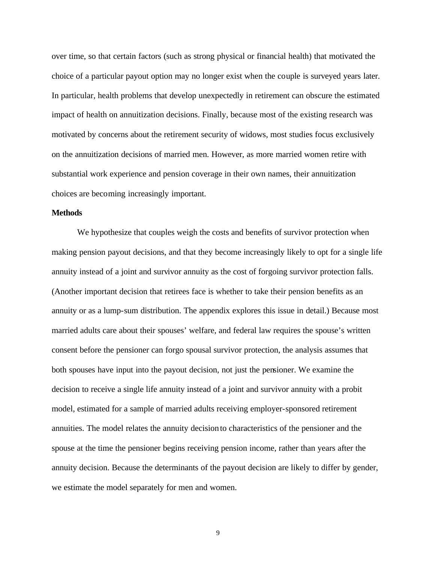over time, so that certain factors (such as strong physical or financial health) that motivated the choice of a particular payout option may no longer exist when the couple is surveyed years later. In particular, health problems that develop unexpectedly in retirement can obscure the estimated impact of health on annuitization decisions. Finally, because most of the existing research was motivated by concerns about the retirement security of widows, most studies focus exclusively on the annuitization decisions of married men. However, as more married women retire with substantial work experience and pension coverage in their own names, their annuitization choices are becoming increasingly important.

#### **Methods**

We hypothesize that couples weigh the costs and benefits of survivor protection when making pension payout decisions, and that they become increasingly likely to opt for a single life annuity instead of a joint and survivor annuity as the cost of forgoing survivor protection falls. (Another important decision that retirees face is whether to take their pension benefits as an annuity or as a lump-sum distribution. The appendix explores this issue in detail.) Because most married adults care about their spouses' welfare, and federal law requires the spouse's written consent before the pensioner can forgo spousal survivor protection, the analysis assumes that both spouses have input into the payout decision, not just the pensioner. We examine the decision to receive a single life annuity instead of a joint and survivor annuity with a probit model, estimated for a sample of married adults receiving employer-sponsored retirement annuities. The model relates the annuity decision to characteristics of the pensioner and the spouse at the time the pensioner begins receiving pension income, rather than years after the annuity decision. Because the determinants of the payout decision are likely to differ by gender, we estimate the model separately for men and women.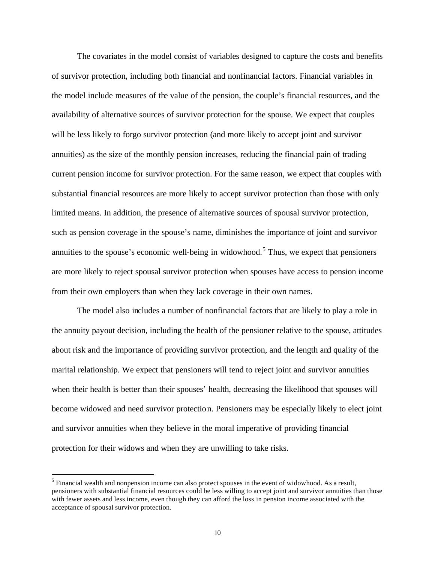The covariates in the model consist of variables designed to capture the costs and benefits of survivor protection, including both financial and nonfinancial factors. Financial variables in the model include measures of the value of the pension, the couple's financial resources, and the availability of alternative sources of survivor protection for the spouse. We expect that couples will be less likely to forgo survivor protection (and more likely to accept joint and survivor annuities) as the size of the monthly pension increases, reducing the financial pain of trading current pension income for survivor protection. For the same reason, we expect that couples with substantial financial resources are more likely to accept survivor protection than those with only limited means. In addition, the presence of alternative sources of spousal survivor protection, such as pension coverage in the spouse's name, diminishes the importance of joint and survivor annuities to the spouse's economic well-being in widowhood.<sup>5</sup> Thus, we expect that pensioners are more likely to reject spousal survivor protection when spouses have access to pension income from their own employers than when they lack coverage in their own names.

The model also includes a number of nonfinancial factors that are likely to play a role in the annuity payout decision, including the health of the pensioner relative to the spouse, attitudes about risk and the importance of providing survivor protection, and the length and quality of the marital relationship. We expect that pensioners will tend to reject joint and survivor annuities when their health is better than their spouses' health, decreasing the likelihood that spouses will become widowed and need survivor protection. Pensioners may be especially likely to elect joint and survivor annuities when they believe in the moral imperative of providing financial protection for their widows and when they are unwilling to take risks.

 $<sup>5</sup>$  Financial wealth and nonpension income can also protect spouses in the event of widowhood. As a result,</sup> pensioners with substantial financial resources could be less willing to accept joint and survivor annuities than those with fewer assets and less income, even though they can afford the loss in pension income associated with the acceptance of spousal survivor protection.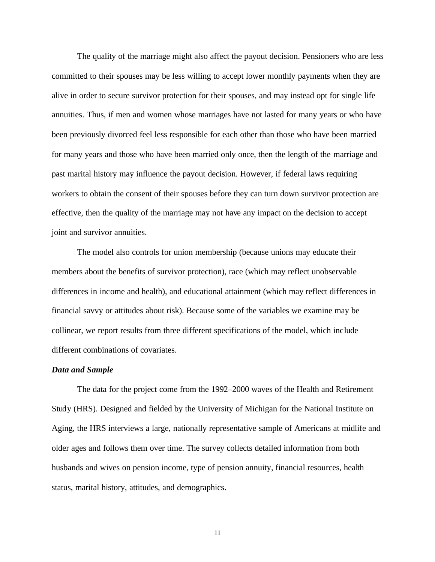The quality of the marriage might also affect the payout decision. Pensioners who are less committed to their spouses may be less willing to accept lower monthly payments when they are alive in order to secure survivor protection for their spouses, and may instead opt for single life annuities. Thus, if men and women whose marriages have not lasted for many years or who have been previously divorced feel less responsible for each other than those who have been married for many years and those who have been married only once, then the length of the marriage and past marital history may influence the payout decision. However, if federal laws requiring workers to obtain the consent of their spouses before they can turn down survivor protection are effective, then the quality of the marriage may not have any impact on the decision to accept joint and survivor annuities.

The model also controls for union membership (because unions may educate their members about the benefits of survivor protection), race (which may reflect unobservable differences in income and health), and educational attainment (which may reflect differences in financial savvy or attitudes about risk). Because some of the variables we examine may be collinear, we report results from three different specifications of the model, which include different combinations of covariates.

#### *Data and Sample*

The data for the project come from the 1992–2000 waves of the Health and Retirement Study (HRS). Designed and fielded by the University of Michigan for the National Institute on Aging, the HRS interviews a large, nationally representative sample of Americans at midlife and older ages and follows them over time. The survey collects detailed information from both husbands and wives on pension income, type of pension annuity, financial resources, health status, marital history, attitudes, and demographics.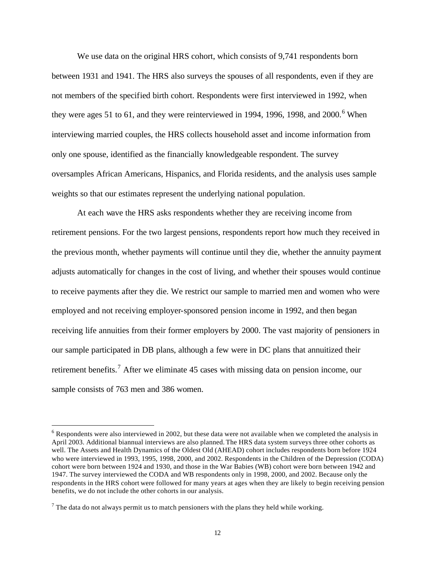We use data on the original HRS cohort, which consists of 9,741 respondents born between 1931 and 1941. The HRS also surveys the spouses of all respondents, even if they are not members of the specified birth cohort. Respondents were first interviewed in 1992, when they were ages 51 to 61, and they were reinterviewed in 1994, 1996, 1998, and 2000.<sup>6</sup> When interviewing married couples, the HRS collects household asset and income information from only one spouse, identified as the financially knowledgeable respondent. The survey oversamples African Americans, Hispanics, and Florida residents, and the analysis uses sample weights so that our estimates represent the underlying national population.

At each wave the HRS asks respondents whether they are receiving income from retirement pensions. For the two largest pensions, respondents report how much they received in the previous month, whether payments will continue until they die, whether the annuity payment adjusts automatically for changes in the cost of living, and whether their spouses would continue to receive payments after they die. We restrict our sample to married men and women who were employed and not receiving employer-sponsored pension income in 1992, and then began receiving life annuities from their former employers by 2000. The vast majority of pensioners in our sample participated in DB plans, although a few were in DC plans that annuitized their retirement benefits.<sup>7</sup> After we eliminate 45 cases with missing data on pension income, our sample consists of 763 men and 386 women.

 $6$  Respondents were also interviewed in 2002, but these data were not available when we completed the analysis in April 2003. Additional biannual interviews are also planned. The HRS data system surveys three other cohorts as well. The Assets and Health Dynamics of the Oldest Old (AHEAD) cohort includes respondents born before 1924 who were interviewed in 1993, 1995, 1998, 2000, and 2002. Respondents in the Children of the Depression (CODA) cohort were born between 1924 and 1930, and those in the War Babies (WB) cohort were born between 1942 and 1947. The survey interviewed the CODA and WB respondents only in 1998, 2000, and 2002. Because only the respondents in the HRS cohort were followed for many years at ages when they are likely to begin receiving pension benefits, we do not include the other cohorts in our analysis.

 $<sup>7</sup>$  The data do not always permit us to match pensioners with the plans they held while working.</sup>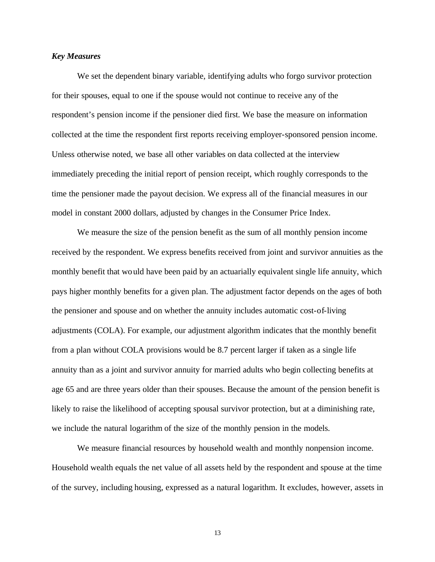#### *Key Measures*

We set the dependent binary variable, identifying adults who forgo survivor protection for their spouses, equal to one if the spouse would not continue to receive any of the respondent's pension income if the pensioner died first. We base the measure on information collected at the time the respondent first reports receiving employer-sponsored pension income. Unless otherwise noted, we base all other variables on data collected at the interview immediately preceding the initial report of pension receipt, which roughly corresponds to the time the pensioner made the payout decision. We express all of the financial measures in our model in constant 2000 dollars, adjusted by changes in the Consumer Price Index.

We measure the size of the pension benefit as the sum of all monthly pension income received by the respondent. We express benefits received from joint and survivor annuities as the monthly benefit that would have been paid by an actuarially equivalent single life annuity, which pays higher monthly benefits for a given plan. The adjustment factor depends on the ages of both the pensioner and spouse and on whether the annuity includes automatic cost-of-living adjustments (COLA). For example, our adjustment algorithm indicates that the monthly benefit from a plan without COLA provisions would be 8.7 percent larger if taken as a single life annuity than as a joint and survivor annuity for married adults who begin collecting benefits at age 65 and are three years older than their spouses. Because the amount of the pension benefit is likely to raise the likelihood of accepting spousal survivor protection, but at a diminishing rate, we include the natural logarithm of the size of the monthly pension in the models.

We measure financial resources by household wealth and monthly nonpension income. Household wealth equals the net value of all assets held by the respondent and spouse at the time of the survey, including housing, expressed as a natural logarithm. It excludes, however, assets in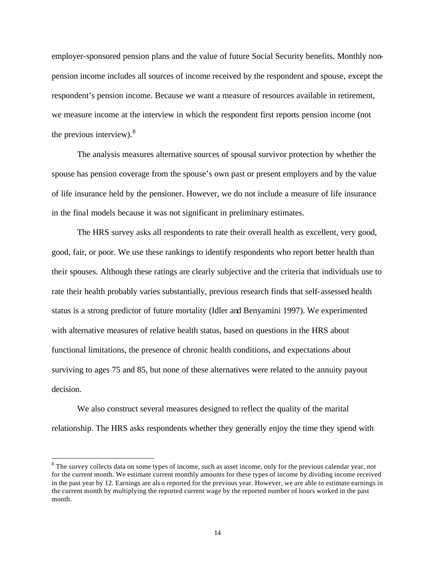employer-sponsored pension plans and the value of future Social Security benefits. Monthly nonpension income includes all sources of income received by the respondent and spouse, except the respondent's pension income. Because we want a measure of resources available in retirement, we measure income at the interview in which the respondent first reports pension income (not the previous interview). $8$ 

The analysis measures alternative sources of spousal survivor protection by whether the spouse has pension coverage from the spouse's own past or present employers and by the value of life insurance held by the pensioner. However, we do not include a measure of life insurance in the final models because it was not significant in preliminary estimates.

The HRS survey asks all respondents to rate their overall health as excellent, very good, good, fair, or poor. We use these rankings to identify respondents who report better health than their spouses. Although these ratings are clearly subjective and the criteria that individuals use to rate their health probably varies substantially, previous research finds that self-assessed health status is a strong predictor of future mortality (Idler and Benyamini 1997). We experimented with alternative measures of relative health status, based on questions in the HRS about functional limitations, the presence of chronic health conditions, and expectations about surviving to ages 75 and 85, but none of these alternatives were related to the annuity payout decision.

We also construct several measures designed to reflect the quality of the marital relationship. The HRS asks respondents whether they generally enjoy the time they spend with

 $8$  The survey collects data on some types of income, such as asset income, only for the previous calendar year, not for the current month. We estimate current monthly amounts for these types of income by dividing income received in the past year by 12. Earnings are als o reported for the previous year. However, we are able to estimate earnings in the current month by multiplying the reported current wage by the reported number of hours worked in the past month.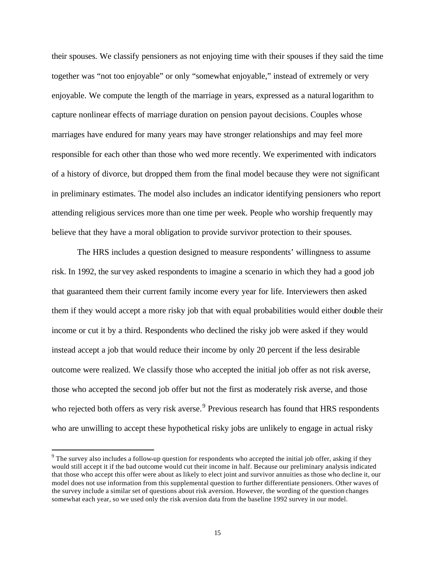their spouses. We classify pensioners as not enjoying time with their spouses if they said the time together was "not too enjoyable" or only "somewhat enjoyable," instead of extremely or very enjoyable. We compute the length of the marriage in years, expressed as a natural logarithm to capture nonlinear effects of marriage duration on pension payout decisions. Couples whose marriages have endured for many years may have stronger relationships and may feel more responsible for each other than those who wed more recently. We experimented with indicators of a history of divorce, but dropped them from the final model because they were not significant in preliminary estimates. The model also includes an indicator identifying pensioners who report attending religious services more than one time per week. People who worship frequently may believe that they have a moral obligation to provide survivor protection to their spouses.

The HRS includes a question designed to measure respondents' willingness to assume risk. In 1992, the survey asked respondents to imagine a scenario in which they had a good job that guaranteed them their current family income every year for life. Interviewers then asked them if they would accept a more risky job that with equal probabilities would either double their income or cut it by a third. Respondents who declined the risky job were asked if they would instead accept a job that would reduce their income by only 20 percent if the less desirable outcome were realized. We classify those who accepted the initial job offer as not risk averse, those who accepted the second job offer but not the first as moderately risk averse, and those who rejected both offers as very risk averse.<sup>9</sup> Previous research has found that HRS respondents who are unwilling to accept these hypothetical risky jobs are unlikely to engage in actual risky

 $9$  The survey also includes a follow-up question for respondents who accepted the initial job offer, asking if they would still accept it if the bad outcome would cut their income in half. Because our preliminary analysis indicated that those who accept this offer were about as likely to elect joint and survivor annuities as those who decline it, our model does not use information from this supplemental question to further differentiate pensioners. Other waves of the survey include a similar set of questions about risk aversion. However, the wording of the question changes somewhat each year, so we used only the risk aversion data from the baseline 1992 survey in our model.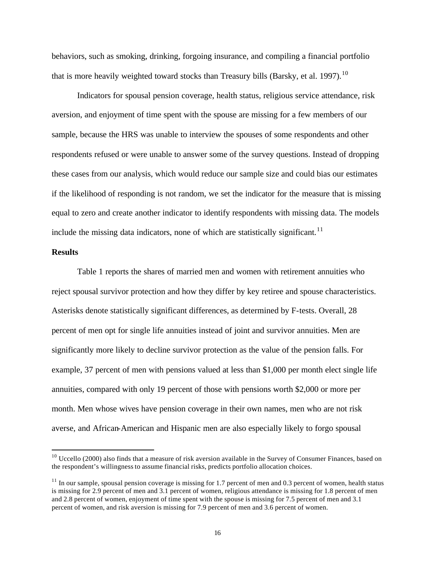behaviors, such as smoking, drinking, forgoing insurance, and compiling a financial portfolio that is more heavily weighted toward stocks than Treasury bills (Barsky, et al. 1997).<sup>10</sup>

Indicators for spousal pension coverage, health status, religious service attendance, risk aversion, and enjoyment of time spent with the spouse are missing for a few members of our sample, because the HRS was unable to interview the spouses of some respondents and other respondents refused or were unable to answer some of the survey questions. Instead of dropping these cases from our analysis, which would reduce our sample size and could bias our estimates if the likelihood of responding is not random, we set the indicator for the measure that is missing equal to zero and create another indicator to identify respondents with missing data. The models include the missing data indicators, none of which are statistically significant.<sup>11</sup>

#### **Results**

 $\overline{a}$ 

Table 1 reports the shares of married men and women with retirement annuities who reject spousal survivor protection and how they differ by key retiree and spouse characteristics. Asterisks denote statistically significant differences, as determined by F-tests. Overall, 28 percent of men opt for single life annuities instead of joint and survivor annuities. Men are significantly more likely to decline survivor protection as the value of the pension falls. For example, 37 percent of men with pensions valued at less than \$1,000 per month elect single life annuities, compared with only 19 percent of those with pensions worth \$2,000 or more per month. Men whose wives have pension coverage in their own names, men who are not risk averse, and African-American and Hispanic men are also especially likely to forgo spousal

 $10$  Uccello (2000) also finds that a measure of risk aversion available in the Survey of Consumer Finances, based on the respondent's willingness to assume financial risks, predicts portfolio allocation choices.

 $11$  In our sample, spousal pension coverage is missing for 1.7 percent of men and 0.3 percent of women, health status is missing for 2.9 percent of men and 3.1 percent of women, religious attendance is missing for 1.8 percent of men and 2.8 percent of women, enjoyment of time spent with the spouse is missing for 7.5 percent of men and 3.1 percent of women, and risk aversion is missing for 7.9 percent of men and 3.6 percent of women.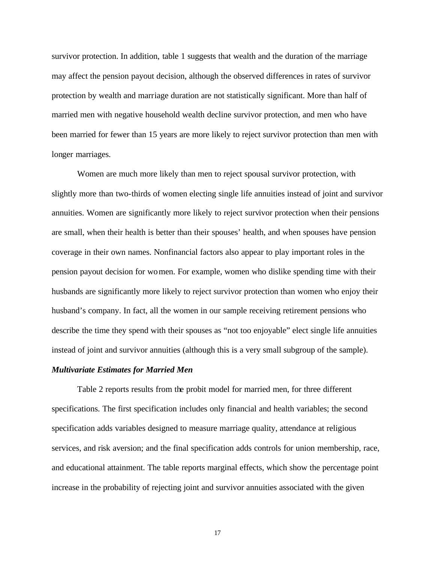survivor protection. In addition, table 1 suggests that wealth and the duration of the marriage may affect the pension payout decision, although the observed differences in rates of survivor protection by wealth and marriage duration are not statistically significant. More than half of married men with negative household wealth decline survivor protection, and men who have been married for fewer than 15 years are more likely to reject survivor protection than men with longer marriages.

Women are much more likely than men to reject spousal survivor protection, with slightly more than two-thirds of women electing single life annuities instead of joint and survivor annuities. Women are significantly more likely to reject survivor protection when their pensions are small, when their health is better than their spouses' health, and when spouses have pension coverage in their own names. Nonfinancial factors also appear to play important roles in the pension payout decision for women. For example, women who dislike spending time with their husbands are significantly more likely to reject survivor protection than women who enjoy their husband's company. In fact, all the women in our sample receiving retirement pensions who describe the time they spend with their spouses as "not too enjoyable" elect single life annuities instead of joint and survivor annuities (although this is a very small subgroup of the sample).

#### *Multivariate Estimates for Married Men*

Table 2 reports results from the probit model for married men, for three different specifications. The first specification includes only financial and health variables; the second specification adds variables designed to measure marriage quality, attendance at religious services, and risk aversion; and the final specification adds controls for union membership, race, and educational attainment. The table reports marginal effects, which show the percentage point increase in the probability of rejecting joint and survivor annuities associated with the given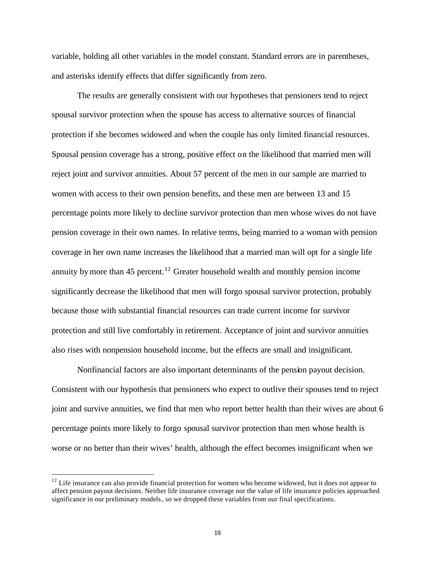variable, holding all other variables in the model constant. Standard errors are in parentheses, and asterisks identify effects that differ significantly from zero.

The results are generally consistent with our hypotheses that pensioners tend to reject spousal survivor protection when the spouse has access to alternative sources of financial protection if she becomes widowed and when the couple has only limited financial resources. Spousal pension coverage has a strong, positive effect on the likelihood that married men will reject joint and survivor annuities. About 57 percent of the men in our sample are married to women with access to their own pension benefits, and these men are between 13 and 15 percentage points more likely to decline survivor protection than men whose wives do not have pension coverage in their own names. In relative terms, being married to a woman with pension coverage in her own name increases the likelihood that a married man will opt for a single life annuity by more than 45 percent.<sup>12</sup> Greater household wealth and monthly pension income significantly decrease the likelihood that men will forgo spousal survivor protection, probably because those with substantial financial resources can trade current income for survivor protection and still live comfortably in retirement. Acceptance of joint and survivor annuities also rises with nonpension household income, but the effects are small and insignificant.

Nonfinancial factors are also important determinants of the pension payout decision. Consistent with our hypothesis that pensioners who expect to outlive their spouses tend to reject joint and survive annuities, we find that men who report better health than their wives are about 6 percentage points more likely to forgo spousal survivor protection than men whose health is worse or no better than their wives' health, although the effect becomes insignificant when we

 $12$  Life insurance can also provide financial protection for women who become widowed, but it does not appear to affect pension payout decisions. Neither life insurance coverage nor the value of life insurance policies approached significance in our preliminary models, so we dropped these variables from our final specifications.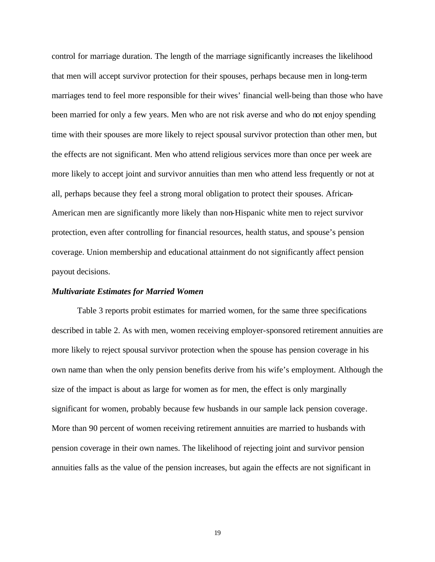control for marriage duration. The length of the marriage significantly increases the likelihood that men will accept survivor protection for their spouses, perhaps because men in long-term marriages tend to feel more responsible for their wives' financial well-being than those who have been married for only a few years. Men who are not risk averse and who do not enjoy spending time with their spouses are more likely to reject spousal survivor protection than other men, but the effects are not significant. Men who attend religious services more than once per week are more likely to accept joint and survivor annuities than men who attend less frequently or not at all, perhaps because they feel a strong moral obligation to protect their spouses. African-American men are significantly more likely than non-Hispanic white men to reject survivor protection, even after controlling for financial resources, health status, and spouse's pension coverage. Union membership and educational attainment do not significantly affect pension payout decisions.

#### *Multivariate Estimates for Married Women*

Table 3 reports probit estimates for married women, for the same three specifications described in table 2. As with men, women receiving employer-sponsored retirement annuities are more likely to reject spousal survivor protection when the spouse has pension coverage in his own name than when the only pension benefits derive from his wife's employment. Although the size of the impact is about as large for women as for men, the effect is only marginally significant for women, probably because few husbands in our sample lack pension coverage. More than 90 percent of women receiving retirement annuities are married to husbands with pension coverage in their own names. The likelihood of rejecting joint and survivor pension annuities falls as the value of the pension increases, but again the effects are not significant in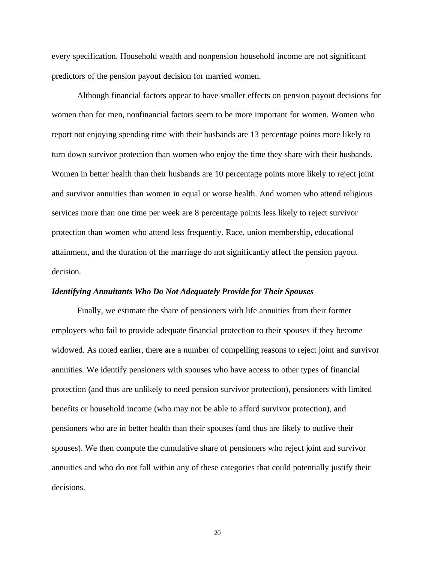every specification. Household wealth and nonpension household income are not significant predictors of the pension payout decision for married women.

Although financial factors appear to have smaller effects on pension payout decisions for women than for men, nonfinancial factors seem to be more important for women. Women who report not enjoying spending time with their husbands are 13 percentage points more likely to turn down survivor protection than women who enjoy the time they share with their husbands. Women in better health than their husbands are 10 percentage points more likely to reject joint and survivor annuities than women in equal or worse health. And women who attend religious services more than one time per week are 8 percentage points less likely to reject survivor protection than women who attend less frequently. Race, union membership, educational attainment, and the duration of the marriage do not significantly affect the pension payout decision.

#### *Identifying Annuitants Who Do Not Adequately Provide for Their Spouses*

Finally, we estimate the share of pensioners with life annuities from their former employers who fail to provide adequate financial protection to their spouses if they become widowed. As noted earlier, there are a number of compelling reasons to reject joint and survivor annuities. We identify pensioners with spouses who have access to other types of financial protection (and thus are unlikely to need pension survivor protection), pensioners with limited benefits or household income (who may not be able to afford survivor protection), and pensioners who are in better health than their spouses (and thus are likely to outlive their spouses). We then compute the cumulative share of pensioners who reject joint and survivor annuities and who do not fall within any of these categories that could potentially justify their decisions.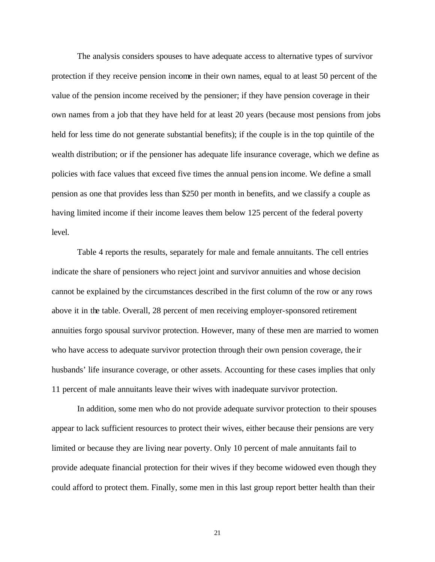The analysis considers spouses to have adequate access to alternative types of survivor protection if they receive pension income in their own names, equal to at least 50 percent of the value of the pension income received by the pensioner; if they have pension coverage in their own names from a job that they have held for at least 20 years (because most pensions from jobs held for less time do not generate substantial benefits); if the couple is in the top quintile of the wealth distribution; or if the pensioner has adequate life insurance coverage, which we define as policies with face values that exceed five times the annual pension income. We define a small pension as one that provides less than \$250 per month in benefits, and we classify a couple as having limited income if their income leaves them below 125 percent of the federal poverty level.

Table 4 reports the results, separately for male and female annuitants. The cell entries indicate the share of pensioners who reject joint and survivor annuities and whose decision cannot be explained by the circumstances described in the first column of the row or any rows above it in the table. Overall, 28 percent of men receiving employer-sponsored retirement annuities forgo spousal survivor protection. However, many of these men are married to women who have access to adequate survivor protection through their own pension coverage, the ir husbands' life insurance coverage, or other assets. Accounting for these cases implies that only 11 percent of male annuitants leave their wives with inadequate survivor protection.

In addition, some men who do not provide adequate survivor protection to their spouses appear to lack sufficient resources to protect their wives, either because their pensions are very limited or because they are living near poverty. Only 10 percent of male annuitants fail to provide adequate financial protection for their wives if they become widowed even though they could afford to protect them. Finally, some men in this last group report better health than their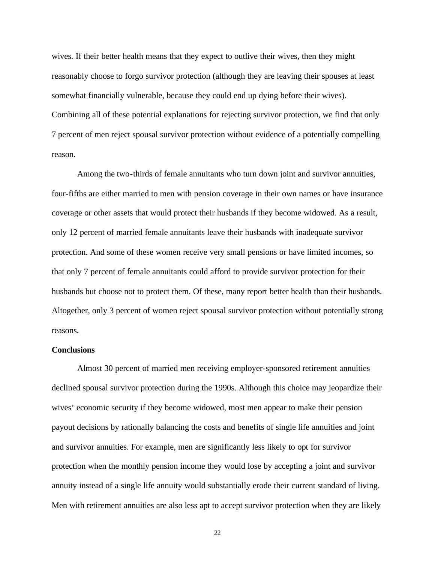wives. If their better health means that they expect to outlive their wives, then they might reasonably choose to forgo survivor protection (although they are leaving their spouses at least somewhat financially vulnerable, because they could end up dying before their wives). Combining all of these potential explanations for rejecting survivor protection, we find that only 7 percent of men reject spousal survivor protection without evidence of a potentially compelling reason.

Among the two-thirds of female annuitants who turn down joint and survivor annuities, four-fifths are either married to men with pension coverage in their own names or have insurance coverage or other assets that would protect their husbands if they become widowed. As a result, only 12 percent of married female annuitants leave their husbands with inadequate survivor protection. And some of these women receive very small pensions or have limited incomes, so that only 7 percent of female annuitants could afford to provide survivor protection for their husbands but choose not to protect them. Of these, many report better health than their husbands. Altogether, only 3 percent of women reject spousal survivor protection without potentially strong reasons.

#### **Conclusions**

Almost 30 percent of married men receiving employer-sponsored retirement annuities declined spousal survivor protection during the 1990s. Although this choice may jeopardize their wives' economic security if they become widowed, most men appear to make their pension payout decisions by rationally balancing the costs and benefits of single life annuities and joint and survivor annuities. For example, men are significantly less likely to opt for survivor protection when the monthly pension income they would lose by accepting a joint and survivor annuity instead of a single life annuity would substantially erode their current standard of living. Men with retirement annuities are also less apt to accept survivor protection when they are likely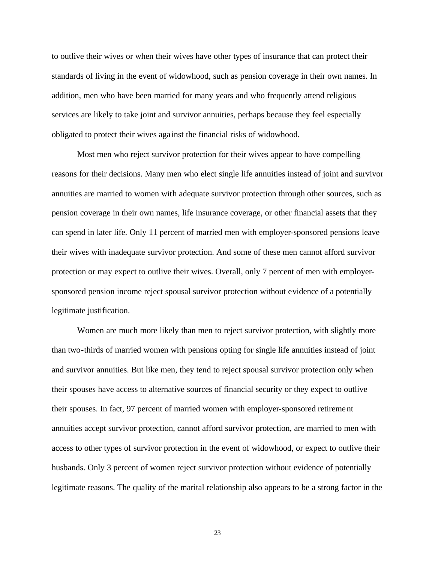to outlive their wives or when their wives have other types of insurance that can protect their standards of living in the event of widowhood, such as pension coverage in their own names. In addition, men who have been married for many years and who frequently attend religious services are likely to take joint and survivor annuities, perhaps because they feel especially obligated to protect their wives aga inst the financial risks of widowhood.

Most men who reject survivor protection for their wives appear to have compelling reasons for their decisions. Many men who elect single life annuities instead of joint and survivor annuities are married to women with adequate survivor protection through other sources, such as pension coverage in their own names, life insurance coverage, or other financial assets that they can spend in later life. Only 11 percent of married men with employer-sponsored pensions leave their wives with inadequate survivor protection. And some of these men cannot afford survivor protection or may expect to outlive their wives. Overall, only 7 percent of men with employersponsored pension income reject spousal survivor protection without evidence of a potentially legitimate justification.

Women are much more likely than men to reject survivor protection, with slightly more than two-thirds of married women with pensions opting for single life annuities instead of joint and survivor annuities. But like men, they tend to reject spousal survivor protection only when their spouses have access to alternative sources of financial security or they expect to outlive their spouses. In fact, 97 percent of married women with employer-sponsored retirement annuities accept survivor protection, cannot afford survivor protection, are married to men with access to other types of survivor protection in the event of widowhood, or expect to outlive their husbands. Only 3 percent of women reject survivor protection without evidence of potentially legitimate reasons. The quality of the marital relationship also appears to be a strong factor in the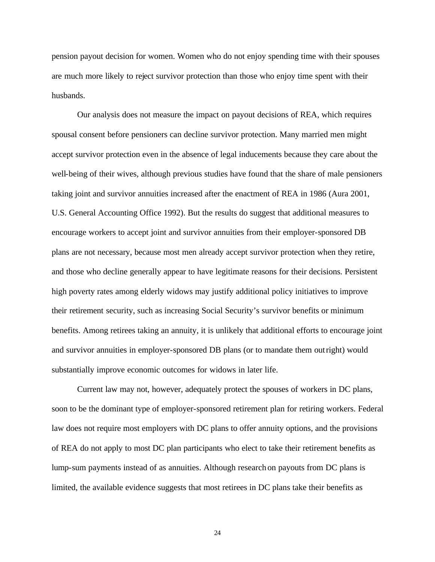pension payout decision for women. Women who do not enjoy spending time with their spouses are much more likely to reject survivor protection than those who enjoy time spent with their husbands.

Our analysis does not measure the impact on payout decisions of REA, which requires spousal consent before pensioners can decline survivor protection. Many married men might accept survivor protection even in the absence of legal inducements because they care about the well-being of their wives, although previous studies have found that the share of male pensioners taking joint and survivor annuities increased after the enactment of REA in 1986 (Aura 2001, U.S. General Accounting Office 1992). But the results do suggest that additional measures to encourage workers to accept joint and survivor annuities from their employer-sponsored DB plans are not necessary, because most men already accept survivor protection when they retire, and those who decline generally appear to have legitimate reasons for their decisions. Persistent high poverty rates among elderly widows may justify additional policy initiatives to improve their retirement security, such as increasing Social Security's survivor benefits or minimum benefits. Among retirees taking an annuity, it is unlikely that additional efforts to encourage joint and survivor annuities in employer-sponsored DB plans (or to mandate them outright) would substantially improve economic outcomes for widows in later life.

Current law may not, however, adequately protect the spouses of workers in DC plans, soon to be the dominant type of employer-sponsored retirement plan for retiring workers. Federal law does not require most employers with DC plans to offer annuity options, and the provisions of REA do not apply to most DC plan participants who elect to take their retirement benefits as lump-sum payments instead of as annuities. Although research on payouts from DC plans is limited, the available evidence suggests that most retirees in DC plans take their benefits as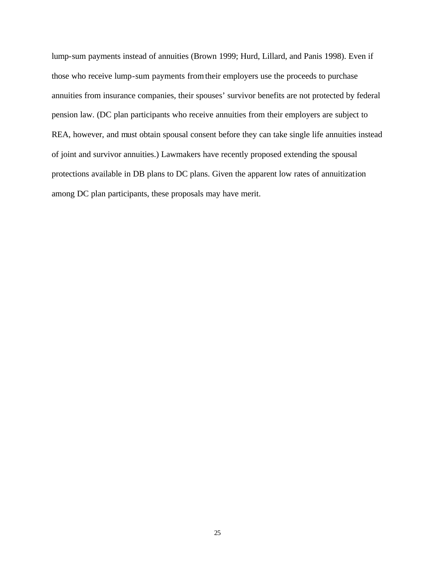lump-sum payments instead of annuities (Brown 1999; Hurd, Lillard, and Panis 1998). Even if those who receive lump-sum payments from their employers use the proceeds to purchase annuities from insurance companies, their spouses' survivor benefits are not protected by federal pension law. (DC plan participants who receive annuities from their employers are subject to REA, however, and must obtain spousal consent before they can take single life annuities instead of joint and survivor annuities.) Lawmakers have recently proposed extending the spousal protections available in DB plans to DC plans. Given the apparent low rates of annuitization among DC plan participants, these proposals may have merit.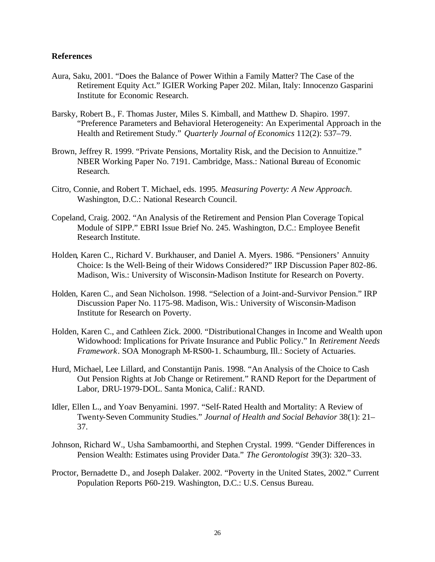#### **References**

- Aura, Saku, 2001. "Does the Balance of Power Within a Family Matter? The Case of the Retirement Equity Act." IGIER Working Paper 202. Milan, Italy: Innocenzo Gasparini Institute for Economic Research.
- Barsky, Robert B., F. Thomas Juster, Miles S. Kimball, and Matthew D. Shapiro. 1997. "Preference Parameters and Behavioral Heterogeneity: An Experimental Approach in the Health and Retirement Study." *Quarterly Journal of Economics* 112(2): 537–79.
- Brown, Jeffrey R. 1999. "Private Pensions, Mortality Risk, and the Decision to Annuitize." NBER Working Paper No. 7191. Cambridge, Mass.: National Bureau of Economic Research.
- Citro, Connie, and Robert T. Michael, eds. 1995. *Measuring Poverty: A New Approach*. Washington, D.C.: National Research Council.
- Copeland, Craig. 2002. "An Analysis of the Retirement and Pension Plan Coverage Topical Module of SIPP." EBRI Issue Brief No. 245. Washington, D.C.: Employee Benefit Research Institute.
- Holden, Karen C., Richard V. Burkhauser, and Daniel A. Myers. 1986. "Pensioners' Annuity Choice: Is the Well-Being of their Widows Considered?" IRP Discussion Paper 802-86. Madison, Wis.: University of Wisconsin-Madison Institute for Research on Poverty.
- Holden, Karen C., and Sean Nicholson. 1998. "Selection of a Joint-and-Survivor Pension." IRP Discussion Paper No. 1175-98. Madison, Wis.: University of Wisconsin-Madison Institute for Research on Poverty.
- Holden, Karen C., and Cathleen Zick. 2000. "Distributional Changes in Income and Wealth upon Widowhood: Implications for Private Insurance and Public Policy." In *Retirement Needs Framework*. SOA Monograph M-RS00-1. Schaumburg, Ill.: Society of Actuaries.
- Hurd, Michael, Lee Lillard, and Constantijn Panis. 1998. "An Analysis of the Choice to Cash Out Pension Rights at Job Change or Retirement." RAND Report for the Department of Labor, DRU-1979-DOL. Santa Monica, Calif.: RAND.
- Idler, Ellen L., and Yoav Benyamini. 1997. "Self-Rated Health and Mortality: A Review of Twenty-Seven Community Studies." *Journal of Health and Social Behavior* 38(1): 21– 37.
- Johnson, Richard W., Usha Sambamoorthi, and Stephen Crystal. 1999. "Gender Differences in Pension Wealth: Estimates using Provider Data." *The Gerontologist* 39(3): 320–33.
- Proctor, Bernadette D., and Joseph Dalaker. 2002. "Poverty in the United States, 2002." Current Population Reports P60-219. Washington, D.C.: U.S. Census Bureau.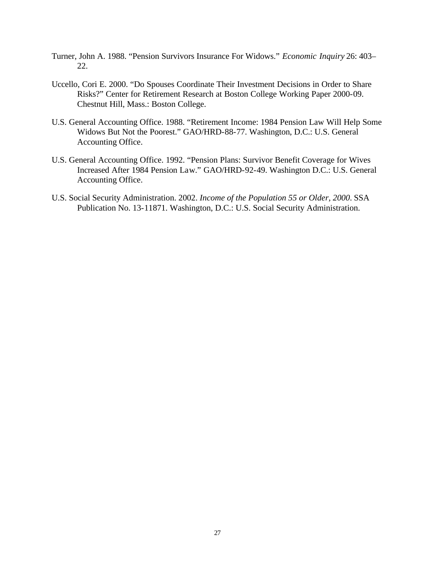- Turner, John A. 1988. "Pension Survivors Insurance For Widows." *Economic Inquiry* 26: 403– 22.
- Uccello, Cori E. 2000. "Do Spouses Coordinate Their Investment Decisions in Order to Share Risks?" Center for Retirement Research at Boston College Working Paper 2000-09. Chestnut Hill, Mass.: Boston College.
- U.S. General Accounting Office. 1988. "Retirement Income: 1984 Pension Law Will Help Some Widows But Not the Poorest." GAO/HRD-88-77. Washington, D.C.: U.S. General Accounting Office.
- U.S. General Accounting Office. 1992. "Pension Plans: Survivor Benefit Coverage for Wives Increased After 1984 Pension Law." GAO/HRD-92-49. Washington D.C.: U.S. General Accounting Office.
- U.S. Social Security Administration. 2002. *Income of the Population 55 or Older, 2000*. SSA Publication No. 13-11871. Washington, D.C.: U.S. Social Security Administration.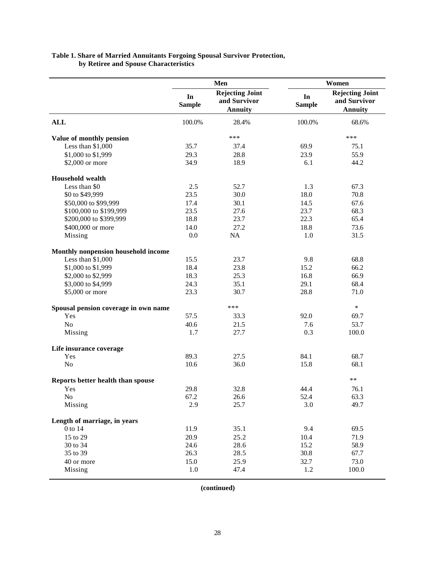| Table 1. Share of Married Annuitants Forgoing Spousal Survivor Protection, |
|----------------------------------------------------------------------------|
| by Retiree and Spouse Characteristics                                      |

|                                      |                     | Men                                               | Women               |                                                   |  |
|--------------------------------------|---------------------|---------------------------------------------------|---------------------|---------------------------------------------------|--|
|                                      | In<br><b>Sample</b> | <b>Rejecting Joint</b><br>and Survivor<br>Annuity | In<br><b>Sample</b> | <b>Rejecting Joint</b><br>and Survivor<br>Annuity |  |
| <b>ALL</b>                           | 100.0%              | 28.4%                                             | 100.0%              | 68.6%                                             |  |
| Value of monthly pension             |                     | ***                                               |                     | ***                                               |  |
| Less than \$1,000                    | 35.7                | 37.4                                              | 69.9                | 75.1                                              |  |
| \$1,000 to \$1,999                   | 29.3                | 28.8                                              | 23.9                | 55.9                                              |  |
| \$2,000 or more                      | 34.9                | 18.9                                              | 6.1                 | 44.2                                              |  |
| <b>Household</b> wealth              |                     |                                                   |                     |                                                   |  |
| Less than \$0                        | 2.5                 | 52.7                                              | 1.3                 | 67.3                                              |  |
| \$0 to \$49,999                      | 23.5                | 30.0                                              | 18.0                | 70.8                                              |  |
| \$50,000 to \$99,999                 | 17.4                | 30.1                                              | 14.5                | 67.6                                              |  |
| \$100,000 to \$199,999               | 23.5                | 27.6                                              | 23.7                | 68.3                                              |  |
| \$200,000 to \$399,999               | 18.8                | 23.7                                              | 22.3                | 65.4                                              |  |
| \$400,000 or more                    | 14.0                | 27.2                                              | 18.8                | 73.6                                              |  |
| Missing                              | 0.0                 | NA                                                | 1.0                 | 31.5                                              |  |
| Monthly nonpension household income  |                     |                                                   |                     |                                                   |  |
| Less than \$1,000                    | 15.5                | 23.7                                              | 9.8                 | 68.8                                              |  |
| \$1,000 to \$1,999                   | 18.4                | 23.8                                              | 15.2                | 66.2                                              |  |
|                                      |                     |                                                   |                     |                                                   |  |
| \$2,000 to \$2,999                   | 18.3                | 25.3                                              | 16.8                | 66.9                                              |  |
| \$3,000 to \$4,999                   | 24.3                | 35.1                                              | 29.1                | 68.4                                              |  |
| \$5,000 or more                      | 23.3                | 30.7                                              | 28.8                | 71.0                                              |  |
| Spousal pension coverage in own name |                     | ***                                               |                     | $\ast$                                            |  |
| Yes                                  | 57.5                | 33.3                                              | 92.0                | 69.7                                              |  |
| N <sub>o</sub>                       | 40.6                | 21.5                                              | 7.6                 | 53.7                                              |  |
| Missing                              | 1.7                 | 27.7                                              | 0.3                 | 100.0                                             |  |
| Life insurance coverage              |                     |                                                   |                     |                                                   |  |
| Yes                                  | 89.3                | 27.5                                              | 84.1                | 68.7                                              |  |
| No                                   | 10.6                | 36.0                                              | 15.8                | 68.1                                              |  |
| Reports better health than spouse    |                     |                                                   |                     | $**$                                              |  |
| Yes                                  | 29.8                | 32.8                                              | 44.4                | 76.1                                              |  |
| $\rm No$                             | 67.2                | 26.6                                              | 52.4                | 63.3                                              |  |
| Missing                              | 2.9                 | 25.7                                              | 3.0                 | 49.7                                              |  |
| Length of marriage, in years         |                     |                                                   |                     |                                                   |  |
| 0 to 14                              | 11.9                | 35.1                                              | 9.4                 | 69.5                                              |  |
| 15 to 29                             | 20.9                | 25.2                                              | 10.4                | 71.9                                              |  |
| 30 to 34                             | 24.6                | 28.6                                              | 15.2                | 58.9                                              |  |
| 35 to 39                             | 26.3                | 28.5                                              | 30.8                | 67.7                                              |  |
| 40 or more                           | 15.0                | 25.9                                              | 32.7                | 73.0                                              |  |
|                                      |                     |                                                   |                     |                                                   |  |
| Missing                              | $1.0\,$             | 47.4                                              | 1.2                 | 100.0                                             |  |

**(continued)**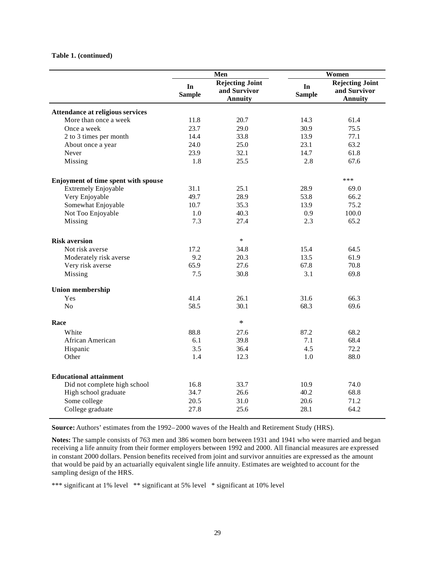#### **Table 1. (continued)**

|                                     |                     | Men                                                      |                     | Women                                                    |
|-------------------------------------|---------------------|----------------------------------------------------------|---------------------|----------------------------------------------------------|
|                                     | In<br><b>Sample</b> | <b>Rejecting Joint</b><br>and Survivor<br><b>Annuity</b> | In<br><b>Sample</b> | <b>Rejecting Joint</b><br>and Survivor<br><b>Annuity</b> |
| Attendance at religious services    |                     |                                                          |                     |                                                          |
| More than once a week               | 11.8                | 20.7                                                     | 14.3                | 61.4                                                     |
| Once a week                         | 23.7                | 29.0                                                     | 30.9                | 75.5                                                     |
| 2 to 3 times per month              | 14.4                | 33.8                                                     | 13.9                | 77.1                                                     |
| About once a year                   | 24.0                | 25.0                                                     | 23.1                | 63.2                                                     |
| Never                               | 23.9                | 32.1                                                     | 14.7                | 61.8                                                     |
|                                     |                     | 25.5                                                     | 2.8                 | 67.6                                                     |
| Missing                             | 1.8                 |                                                          |                     |                                                          |
| Enjoyment of time spent with spouse |                     |                                                          |                     | ***                                                      |
| <b>Extremely Enjoyable</b>          | 31.1                | 25.1                                                     | 28.9                | 69.0                                                     |
| Very Enjoyable                      | 49.7                | 28.9                                                     | 53.8                | 66.2                                                     |
| Somewhat Enjoyable                  | 10.7                | 35.3                                                     | 13.9                | 75.2                                                     |
| Not Too Enjoyable                   | 1.0                 | 40.3                                                     | 0.9                 | 100.0                                                    |
| Missing                             | 7.3                 | 27.4                                                     | 2.3                 | 65.2                                                     |
| <b>Risk aversion</b>                |                     | $\ast$                                                   |                     |                                                          |
| Not risk averse                     | 17.2                | 34.8                                                     | 15.4                | 64.5                                                     |
| Moderately risk averse              | 9.2                 | 20.3                                                     | 13.5                | 61.9                                                     |
|                                     | 65.9                | 27.6                                                     | 67.8                | 70.8                                                     |
| Very risk averse                    | 7.5                 | 30.8                                                     | 3.1                 | 69.8                                                     |
| Missing                             |                     |                                                          |                     |                                                          |
| <b>Union membership</b>             |                     |                                                          |                     |                                                          |
| Yes                                 | 41.4                | 26.1                                                     | 31.6                | 66.3                                                     |
| N <sub>o</sub>                      | 58.5                | 30.1                                                     | 68.3                | 69.6                                                     |
| Race                                |                     | $\ast$                                                   |                     |                                                          |
| White                               | 88.8                | 27.6                                                     | 87.2                | 68.2                                                     |
| African American                    | 6.1                 | 39.8                                                     | 7.1                 | 68.4                                                     |
| Hispanic                            | 3.5                 | 36.4                                                     | 4.5                 | 72.2                                                     |
| Other                               | 1.4                 | 12.3                                                     | 1.0                 | 88.0                                                     |
| <b>Educational attainment</b>       |                     |                                                          |                     |                                                          |
| Did not complete high school        | 16.8                | 33.7                                                     | 10.9                | 74.0                                                     |
| High school graduate                | 34.7                | 26.6                                                     | 40.2                | 68.8                                                     |
|                                     | 20.5                | 31.0                                                     | 20.6                | 71.2                                                     |
| Some college                        |                     |                                                          |                     | 64.2                                                     |
| College graduate                    | 27.8                | 25.6                                                     | 28.1                |                                                          |

**Source:** Authors' estimates from the 1992–2000 waves of the Health and Retirement Study (HRS).

**Notes:** The sample consists of 763 men and 386 women born between 1931 and 1941 who were married and began receiving a life annuity from their former employers between 1992 and 2000. All financial measures are expressed in constant 2000 dollars. Pension benefits received from joint and survivor annuities are expressed as the amount that would be paid by an actuarially equivalent single life annuity. Estimates are weighted to account for the sampling design of the HRS.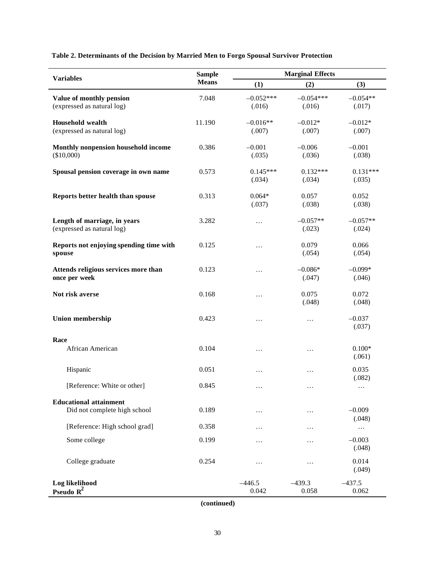**Table 2. Determinants of the Decision by Married Men to Forgo Spousal Survivor Protection**

| <b>Variables</b>                        | <b>Sample</b> | <b>Marginal Effects</b> |             |                    |  |
|-----------------------------------------|---------------|-------------------------|-------------|--------------------|--|
|                                         | <b>Means</b>  | (1)                     | (2)         | (3)                |  |
| Value of monthly pension                | 7.048         | $-0.052***$             | $-0.054***$ | $-0.054**$         |  |
| (expressed as natural log)              |               | (.016)                  | (.016)      | (.017)             |  |
| <b>Household wealth</b>                 | 11.190        | $-0.016**$              | $-0.012*$   | $-0.012*$          |  |
| (expressed as natural log)              |               | (.007)                  | (.007)      | (.007)             |  |
| Monthly nonpension household income     | 0.386         | $-0.001$                | $-0.006$    | $-0.001$           |  |
| (\$10,000)                              |               | (.035)                  | (.036)      | (.038)             |  |
| Spousal pension coverage in own name    | 0.573         | $0.145***$              | $0.132***$  | $0.131***$         |  |
|                                         |               | (.034)                  | (.034)      | (.035)             |  |
| Reports better health than spouse       | 0.313         | $0.064*$                | 0.057       | 0.052              |  |
|                                         |               | (.037)                  | (.038)      | (.038)             |  |
| Length of marriage, in years            | 3.282         | $\ldots$                | $-0.057**$  | $-0.057**$         |  |
| (expressed as natural log)              |               |                         | (.023)      | (.024)             |  |
| Reports not enjoying spending time with | 0.125         | $\cdots$                | 0.079       | 0.066              |  |
| spouse                                  |               |                         | (.054)      | (.054)             |  |
| Attends religious services more than    | 0.123         | $\ldots$                | $-0.086*$   | $-0.099*$          |  |
| once per week                           |               |                         | (.047)      | (.046)             |  |
| Not risk averse                         | 0.168         | $\ldots$                | 0.075       | 0.072              |  |
|                                         |               |                         | (.048)      | (.048)             |  |
| <b>Union membership</b>                 | 0.423         | $\ldots$                | $\cdots$    | $-0.037$           |  |
|                                         |               |                         |             | (.037)             |  |
| Race                                    |               |                         |             |                    |  |
| African American                        | 0.104         | $\ldots$                | $\cdots$    | $0.100*$<br>(.061) |  |
| Hispanic                                | 0.051         |                         |             | 0.035              |  |
|                                         |               | $\cdots$                | .           | (.082)             |  |
| [Reference: White or other]             | 0.845         | $\ldots$                | .           | $\cdots$           |  |
| <b>Educational attainment</b>           |               |                         |             |                    |  |
| Did not complete high school            | 0.189         | $\cdots$                | .           | $-0.009$<br>(.048) |  |
| [Reference: High school grad]           | 0.358         | $\cdots$                | .           | $\ldots$           |  |
| Some college                            | 0.199         | $\cdots$                | .           | $-0.003$           |  |
|                                         |               |                         |             | (.048)             |  |
| College graduate                        | 0.254         | $\cdots$                | .           | 0.014              |  |
|                                         |               |                         |             | (.049)             |  |
| Log likelihood                          |               | $-446.5$                | $-439.3$    | $-437.5$           |  |
| Pseudo $R^2$                            |               | 0.042                   | 0.058       | 0.062              |  |

**(continued)**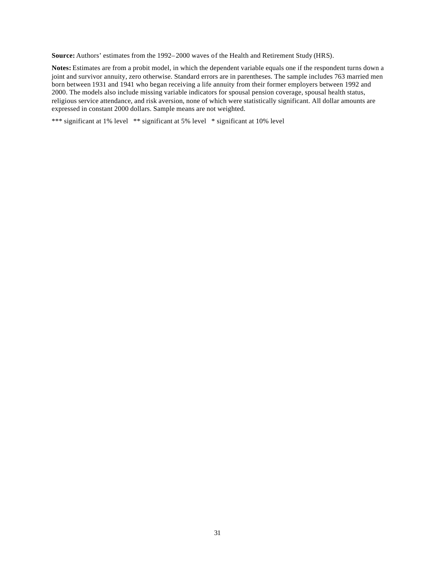**Source:** Authors' estimates from the 1992–2000 waves of the Health and Retirement Study (HRS).

**Notes:** Estimates are from a probit model, in which the dependent variable equals one if the respondent turns down a joint and survivor annuity, zero otherwise. Standard errors are in parentheses. The sample includes 763 married men born between 1931 and 1941 who began receiving a life annuity from their former employers between 1992 and 2000. The models also include missing variable indicators for spousal pension coverage, spousal health status, religious service attendance, and risk aversion, none of which were statistically significant. All dollar amounts are expressed in constant 2000 dollars. Sample means are not weighted.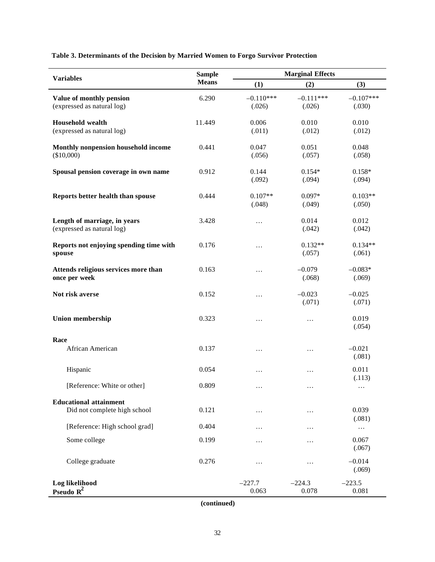**Table 3. Determinants of the Decision by Married Women to Forgo Survivor Protection**

| <b>Variables</b>                        | <b>Sample</b> | <b>Marginal Effects</b> |             |                    |  |
|-----------------------------------------|---------------|-------------------------|-------------|--------------------|--|
|                                         | <b>Means</b>  | (1)                     | (2)         | (3)                |  |
| Value of monthly pension                | 6.290         | $-0.110***$             | $-0.111***$ | $-0.107***$        |  |
| (expressed as natural log)              |               | (.026)                  | (.026)      | (.030)             |  |
| <b>Household wealth</b>                 | 11.449        | 0.006                   | 0.010       | 0.010              |  |
| (expressed as natural log)              |               | (.011)                  | (.012)      | (.012)             |  |
| Monthly nonpension household income     | 0.441         | 0.047                   | 0.051       | 0.048              |  |
| (\$10,000)                              |               | (.056)                  | (.057)      | (.058)             |  |
| Spousal pension coverage in own name    | 0.912         | 0.144                   | $0.154*$    | $0.158*$           |  |
|                                         |               | (.092)                  | (.094)      | (.094)             |  |
| Reports better health than spouse       | 0.444         | $0.107**$               | $0.097*$    | $0.103**$          |  |
|                                         |               | (.048)                  | (.049)      | (.050)             |  |
| Length of marriage, in years            | 3.428         | $\ldots$                | 0.014       | 0.012              |  |
| (expressed as natural log)              |               |                         | (.042)      | (.042)             |  |
| Reports not enjoying spending time with | 0.176         | $\cdots$                | $0.132**$   | $0.134**$          |  |
| spouse                                  |               |                         | (.057)      | (.061)             |  |
| Attends religious services more than    | 0.163         | $\cdots$                | $-0.079$    | $-0.083*$          |  |
| once per week                           |               |                         | (.068)      | (.069)             |  |
| Not risk averse                         | 0.152         | $\cdots$                | $-0.023$    | $-0.025$           |  |
|                                         |               |                         | (.071)      | (.071)             |  |
| <b>Union membership</b>                 | 0.323         | $\ldots$                | $\cdots$    | 0.019              |  |
|                                         |               |                         |             | (.054)             |  |
| Race                                    |               |                         |             |                    |  |
| African American                        | 0.137         | $\ldots$                | .           | $-0.021$<br>(.081) |  |
| Hispanic                                | 0.054         | $\cdots$                | .           | 0.011              |  |
|                                         |               |                         |             | (.113)             |  |
| [Reference: White or other]             | 0.809         | $\cdots$                | .           | $\cdots$           |  |
| <b>Educational attainment</b>           |               |                         |             |                    |  |
| Did not complete high school            | 0.121         | $\cdots$                | $\cdots$    | 0.039<br>(.081)    |  |
| [Reference: High school grad]           | 0.404         | $\cdots$                | .           | $\ldots$           |  |
| Some college                            | 0.199         | $\cdots$                | .           | 0.067<br>(.067)    |  |
| College graduate                        | 0.276         | $\cdots$                | .           | $-0.014$           |  |
|                                         |               |                         |             | (.069)             |  |
|                                         |               | $-227.7$                | $-224.3$    | $-223.5$           |  |
| Log likelihood<br>Pseudo $R^2$          |               | 0.063                   | 0.078       | 0.081              |  |

**(continued)**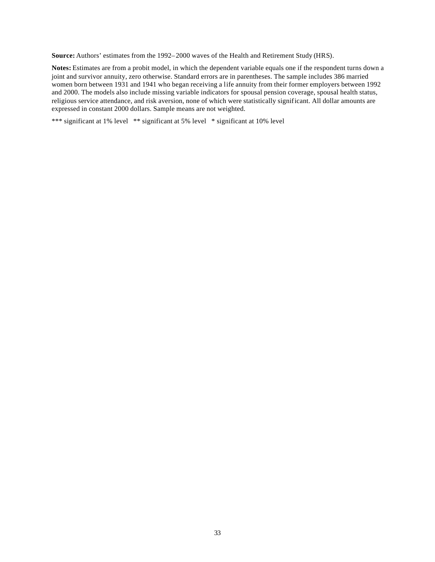**Source:** Authors' estimates from the 1992–2000 waves of the Health and Retirement Study (HRS).

**Notes:** Estimates are from a probit model, in which the dependent variable equals one if the respondent turns down a joint and survivor annuity, zero otherwise. Standard errors are in parentheses. The sample includes 386 married women born between 1931 and 1941 who began receiving a life annuity from their former employers between 1992 and 2000. The models also include missing variable indicators for spousal pension coverage, spousal health status, religious service attendance, and risk aversion, none of which were statistically significant. All dollar amounts are expressed in constant 2000 dollars. Sample means are not weighted.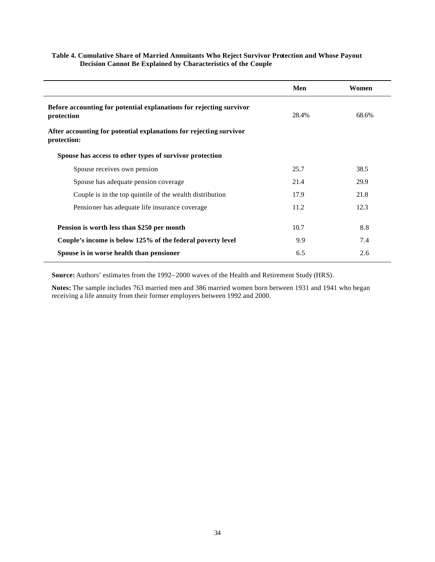|                                                                                   | Men   | Women |
|-----------------------------------------------------------------------------------|-------|-------|
| Before accounting for potential explanations for rejecting survivor<br>protection | 28.4% | 68.6% |
| After accounting for potential explanations for rejecting survivor<br>protection: |       |       |
| Spouse has access to other types of survivor protection                           |       |       |
| Spouse receives own pension                                                       | 25.7  | 38.5  |
| Spouse has adequate pension coverage                                              | 21.4  | 29.9  |
| Couple is in the top quintile of the wealth distribution                          | 17.9  | 21.8  |
| Pensioner has adequate life insurance coverage                                    | 11.2  | 12.3  |
| Pension is worth less than \$250 per month                                        | 10.7  | 8.8   |
| Couple's income is below 125% of the federal poverty level                        | 9.9   | 7.4   |
| Spouse is in worse health than pensioner                                          | 6.5   | 2.6   |

#### **Table 4. Cumulative Share of Married Annuitants Who Reject Survivor Protection and Whose Payout Decision Cannot Be Explained by Characteristics of the Couple**

**Source:** Authors' estimates from the 1992–2000 waves of the Health and Retirement Study (HRS).

**Notes:** The sample includes 763 married men and 386 married women born between 1931 and 1941 who began receiving a life annuity from their former employers between 1992 and 2000.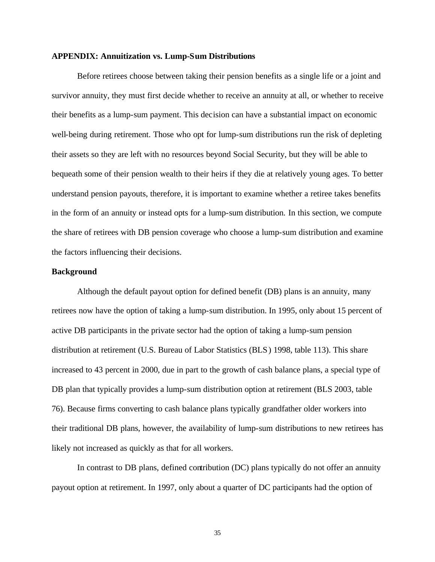#### **APPENDIX: Annuitization vs. Lump-Sum Distributions**

Before retirees choose between taking their pension benefits as a single life or a joint and survivor annuity, they must first decide whether to receive an annuity at all, or whether to receive their benefits as a lump-sum payment. This decision can have a substantial impact on economic well-being during retirement. Those who opt for lump-sum distributions run the risk of depleting their assets so they are left with no resources beyond Social Security, but they will be able to bequeath some of their pension wealth to their heirs if they die at relatively young ages. To better understand pension payouts, therefore, it is important to examine whether a retiree takes benefits in the form of an annuity or instead opts for a lump-sum distribution. In this section, we compute the share of retirees with DB pension coverage who choose a lump-sum distribution and examine the factors influencing their decisions.

#### **Background**

Although the default payout option for defined benefit (DB) plans is an annuity, many retirees now have the option of taking a lump-sum distribution. In 1995, only about 15 percent of active DB participants in the private sector had the option of taking a lump-sum pension distribution at retirement (U.S. Bureau of Labor Statistics (BLS) 1998, table 113). This share increased to 43 percent in 2000, due in part to the growth of cash balance plans, a special type of DB plan that typically provides a lump-sum distribution option at retirement (BLS 2003, table 76). Because firms converting to cash balance plans typically grandfather older workers into their traditional DB plans, however, the availability of lump-sum distributions to new retirees has likely not increased as quickly as that for all workers.

In contrast to DB plans, defined contribution (DC) plans typically do not offer an annuity payout option at retirement. In 1997, only about a quarter of DC participants had the option of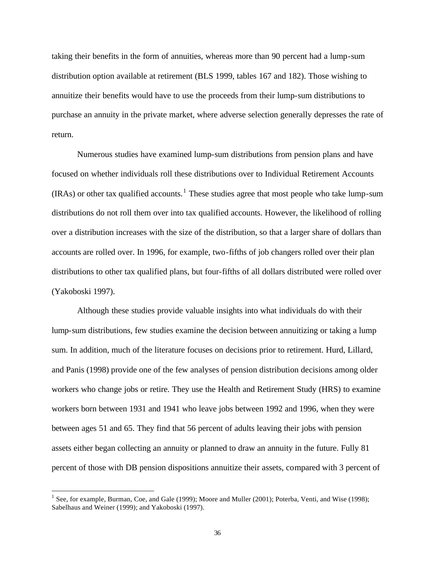taking their benefits in the form of annuities, whereas more than 90 percent had a lump-sum distribution option available at retirement (BLS 1999, tables 167 and 182). Those wishing to annuitize their benefits would have to use the proceeds from their lump-sum distributions to purchase an annuity in the private market, where adverse selection generally depresses the rate of return.

Numerous studies have examined lump-sum distributions from pension plans and have focused on whether individuals roll these distributions over to Individual Retirement Accounts  $(IRAs)$  or other tax qualified accounts.<sup>1</sup> These studies agree that most people who take lump-sum distributions do not roll them over into tax qualified accounts. However, the likelihood of rolling over a distribution increases with the size of the distribution, so that a larger share of dollars than accounts are rolled over. In 1996, for example, two-fifths of job changers rolled over their plan distributions to other tax qualified plans, but four-fifths of all dollars distributed were rolled over (Yakoboski 1997).

Although these studies provide valuable insights into what individuals do with their lump-sum distributions, few studies examine the decision between annuitizing or taking a lump sum. In addition, much of the literature focuses on decisions prior to retirement. Hurd, Lillard, and Panis (1998) provide one of the few analyses of pension distribution decisions among older workers who change jobs or retire. They use the Health and Retirement Study (HRS) to examine workers born between 1931 and 1941 who leave jobs between 1992 and 1996, when they were between ages 51 and 65. They find that 56 percent of adults leaving their jobs with pension assets either began collecting an annuity or planned to draw an annuity in the future. Fully 81 percent of those with DB pension dispositions annuitize their assets, compared with 3 percent of

<sup>&</sup>lt;sup>1</sup> See, for example, Burman, Coe, and Gale (1999); Moore and Muller (2001); Poterba, Venti, and Wise (1998); Sabelhaus and Weiner (1999); and Yakoboski (1997).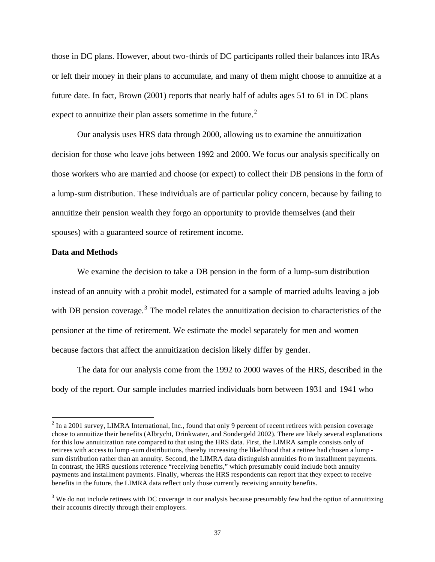those in DC plans. However, about two-thirds of DC participants rolled their balances into IRAs or left their money in their plans to accumulate, and many of them might choose to annuitize at a future date. In fact, Brown (2001) reports that nearly half of adults ages 51 to 61 in DC plans expect to annuitize their plan assets sometime in the future. $2$ 

Our analysis uses HRS data through 2000, allowing us to examine the annuitization decision for those who leave jobs between 1992 and 2000. We focus our analysis specifically on those workers who are married and choose (or expect) to collect their DB pensions in the form of a lump-sum distribution. These individuals are of particular policy concern, because by failing to annuitize their pension wealth they forgo an opportunity to provide themselves (and their spouses) with a guaranteed source of retirement income.

#### **Data and Methods**

 $\overline{a}$ 

We examine the decision to take a DB pension in the form of a lump-sum distribution instead of an annuity with a probit model, estimated for a sample of married adults leaving a job with DB pension coverage.<sup>3</sup> The model relates the annuitization decision to characteristics of the pensioner at the time of retirement. We estimate the model separately for men and women because factors that affect the annuitization decision likely differ by gender.

The data for our analysis come from the 1992 to 2000 waves of the HRS, described in the body of the report. Our sample includes married individuals born between 1931 and 1941 who

 $2 \text{ In a 2001 survey, LIMRA International, Inc., found that only 9 percent of recent retrieves with pension coverage }$ chose to annuitize their benefits (Albrycht, Drinkwater, and Sondergeld 2002). There are likely several explanations for this low annuitization rate compared to that using the HRS data. First, the LIMRA sample consists only of retirees with access to lump -sum distributions, thereby increasing the likelihood that a retiree had chosen a lump sum distribution rather than an annuity. Second, the LIMRA data distinguish annuities fro m installment payments. In contrast, the HRS questions reference "receiving benefits," which presumably could include both annuity payments and installment payments. Finally, whereas the HRS respondents can report that they expect to receive benefits in the future, the LIMRA data reflect only those currently receiving annuity benefits.

 $3$  We do not include retirees with DC coverage in our analysis because presumably few had the option of annuitizing their accounts directly through their employers.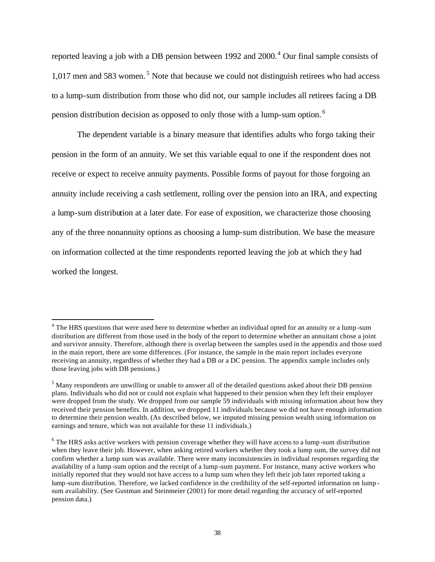reported leaving a job with a DB pension between 1992 and  $2000$ .<sup>4</sup> Our final sample consists of  $1,017$  men and 583 women.<sup>5</sup> Note that because we could not distinguish retirees who had access to a lump-sum distribution from those who did not, our sample includes all retirees facing a DB pension distribution decision as opposed to only those with a lump-sum option. <sup>6</sup>

The dependent variable is a binary measure that identifies adults who forgo taking their pension in the form of an annuity. We set this variable equal to one if the respondent does not receive or expect to receive annuity payments. Possible forms of payout for those forgoing an annuity include receiving a cash settlement, rolling over the pension into an IRA, and expecting a lump-sum distribution at a later date. For ease of exposition, we characterize those choosing any of the three nonannuity options as choosing a lump-sum distribution. We base the measure on information collected at the time respondents reported leaving the job at which they had worked the longest.

<sup>&</sup>lt;sup>4</sup> The HRS questions that were used here to determine whether an individual opted for an annuity or a lump-sum distribution are different from those used in the body of the report to determine whether an annuitant chose a joint and survivor annuity. Therefore, although there is overlap between the samples used in the appendix and those used in the main report, there are some differences. (For instance, the sample in the main report includes everyone receiving an annuity, regardless of whether they had a DB or a DC pension. The appendix sample includes only those leaving jobs with DB pensions.)

 $<sup>5</sup>$  Many respondents are unwilling or unable to answer all of the detailed questions asked about their DB pension</sup> plans. Individuals who did not or could not explain what happened to their pension when they left their employer were dropped from the study. We dropped from our sample 59 individuals with missing information about how they received their pension benefits. In addition, we dropped 11 individuals because we did not have enough information to determine their pension wealth. (As described below, we imputed missing pension wealth using information on earnings and tenure, which was not available for these 11 individuals.)

<sup>&</sup>lt;sup>6</sup> The HRS asks active workers with pension coverage whether they will have access to a lump-sum distribution when they leave their job. However, when asking retired workers whether they took a lump sum, the survey did not confirm whether a lump sum was available. There were many inconsistencies in individual responses regarding the availability of a lump -sum option and the receipt of a lump -sum payment. For instance, many active workers who initially reported that they would not have access to a lump sum when they left their job later reported taking a lump-sum distribution. Therefore, we lacked confidence in the credibility of the self-reported information on lump sum availability. (See Gustman and Steinmeier (2001) for more detail regarding the accuracy of self-reported pension data.)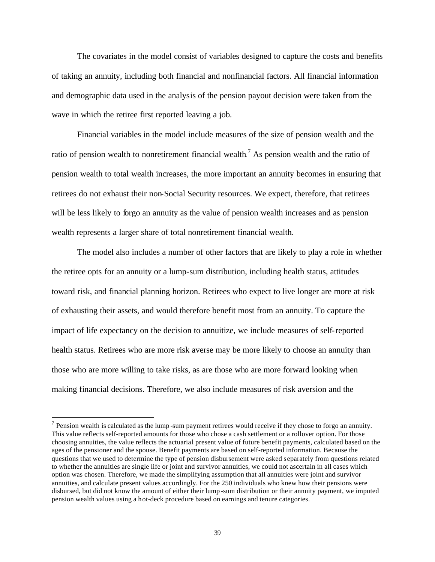The covariates in the model consist of variables designed to capture the costs and benefits of taking an annuity, including both financial and nonfinancial factors. All financial information and demographic data used in the analysis of the pension payout decision were taken from the wave in which the retiree first reported leaving a job.

Financial variables in the model include measures of the size of pension wealth and the ratio of pension wealth to nonretirement financial wealth<sup>7</sup> As pension wealth and the ratio of pension wealth to total wealth increases, the more important an annuity becomes in ensuring that retirees do not exhaust their non-Social Security resources. We expect, therefore, that retirees will be less likely to forgo an annuity as the value of pension wealth increases and as pension wealth represents a larger share of total nonretirement financial wealth.

The model also includes a number of other factors that are likely to play a role in whether the retiree opts for an annuity or a lump-sum distribution, including health status, attitudes toward risk, and financial planning horizon. Retirees who expect to live longer are more at risk of exhausting their assets, and would therefore benefit most from an annuity. To capture the impact of life expectancy on the decision to annuitize, we include measures of self-reported health status. Retirees who are more risk averse may be more likely to choose an annuity than those who are more willing to take risks, as are those who are more forward looking when making financial decisions. Therefore, we also include measures of risk aversion and the

 $<sup>7</sup>$  Pension wealth is calculated as the lump -sum payment retirees would receive if they chose to forgo an annuity.</sup> This value reflects self-reported amounts for those who chose a cash settlement or a rollover option. For those choosing annuities, the value reflects the actuarial present value of future benefit payments, calculated based on the ages of the pensioner and the spouse. Benefit payments are based on self-reported information. Because the questions that we used to determine the type of pension disbursement were asked separately from questions related to whether the annuities are single life or joint and survivor annuities, we could not ascertain in all cases which option was chosen. Therefore, we made the simplifying assumption that all annuities were joint and survivor annuities, and calculate present values accordingly. For the 250 individuals who knew how their pensions were disbursed, but did not know the amount of either their lump -sum distribution or their annuity payment, we imputed pension wealth values using a hot-deck procedure based on earnings and tenure categories.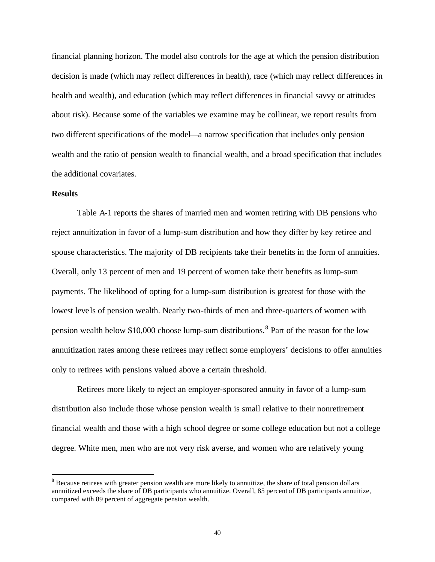financial planning horizon. The model also controls for the age at which the pension distribution decision is made (which may reflect differences in health), race (which may reflect differences in health and wealth), and education (which may reflect differences in financial savvy or attitudes about risk). Because some of the variables we examine may be collinear, we report results from two different specifications of the model—a narrow specification that includes only pension wealth and the ratio of pension wealth to financial wealth, and a broad specification that includes the additional covariates.

#### **Results**

 $\overline{a}$ 

Table A-1 reports the shares of married men and women retiring with DB pensions who reject annuitization in favor of a lump-sum distribution and how they differ by key retiree and spouse characteristics. The majority of DB recipients take their benefits in the form of annuities. Overall, only 13 percent of men and 19 percent of women take their benefits as lump-sum payments. The likelihood of opting for a lump-sum distribution is greatest for those with the lowest levels of pension wealth. Nearly two-thirds of men and three-quarters of women with pension wealth below \$10,000 choose lump-sum distributions.<sup>8</sup> Part of the reason for the low annuitization rates among these retirees may reflect some employers' decisions to offer annuities only to retirees with pensions valued above a certain threshold.

Retirees more likely to reject an employer-sponsored annuity in favor of a lump-sum distribution also include those whose pension wealth is small relative to their nonretirement financial wealth and those with a high school degree or some college education but not a college degree. White men, men who are not very risk averse, and women who are relatively young

 $8$  Because retirees with greater pension wealth are more likely to annuitize, the share of total pension dollars annuitized exceeds the share of DB participants who annuitize. Overall, 85 percent of DB participants annuitize, compared with 89 percent of aggregate pension wealth.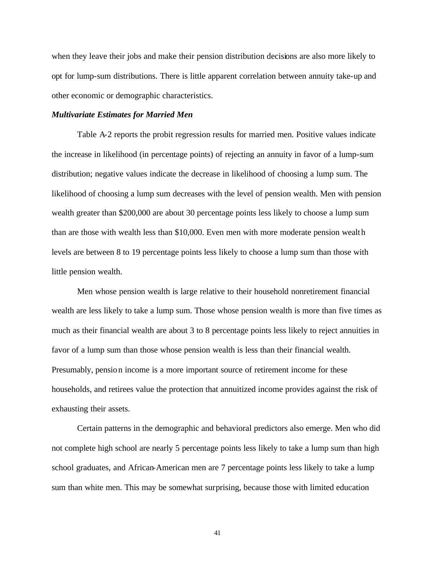when they leave their jobs and make their pension distribution decisions are also more likely to opt for lump-sum distributions. There is little apparent correlation between annuity take-up and other economic or demographic characteristics.

#### *Multivariate Estimates for Married Men*

Table A-2 reports the probit regression results for married men. Positive values indicate the increase in likelihood (in percentage points) of rejecting an annuity in favor of a lump-sum distribution; negative values indicate the decrease in likelihood of choosing a lump sum. The likelihood of choosing a lump sum decreases with the level of pension wealth. Men with pension wealth greater than \$200,000 are about 30 percentage points less likely to choose a lump sum than are those with wealth less than \$10,000. Even men with more moderate pension wealth levels are between 8 to 19 percentage points less likely to choose a lump sum than those with little pension wealth.

Men whose pension wealth is large relative to their household nonretirement financial wealth are less likely to take a lump sum. Those whose pension wealth is more than five times as much as their financial wealth are about 3 to 8 percentage points less likely to reject annuities in favor of a lump sum than those whose pension wealth is less than their financial wealth. Presumably, pension income is a more important source of retirement income for these households, and retirees value the protection that annuitized income provides against the risk of exhausting their assets.

Certain patterns in the demographic and behavioral predictors also emerge. Men who did not complete high school are nearly 5 percentage points less likely to take a lump sum than high school graduates, and African-American men are 7 percentage points less likely to take a lump sum than white men. This may be somewhat surprising, because those with limited education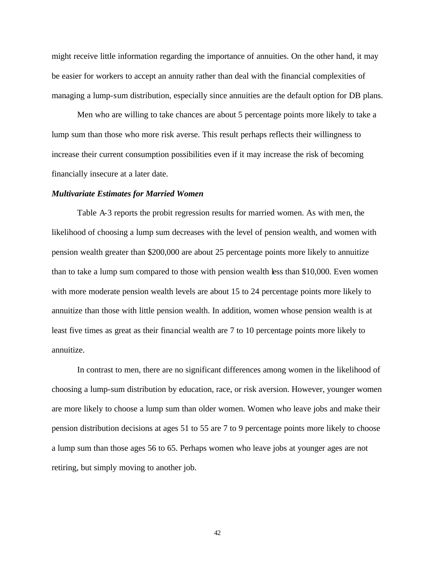might receive little information regarding the importance of annuities. On the other hand, it may be easier for workers to accept an annuity rather than deal with the financial complexities of managing a lump-sum distribution, especially since annuities are the default option for DB plans.

Men who are willing to take chances are about 5 percentage points more likely to take a lump sum than those who more risk averse. This result perhaps reflects their willingness to increase their current consumption possibilities even if it may increase the risk of becoming financially insecure at a later date.

#### *Multivariate Estimates for Married Women*

Table A-3 reports the probit regression results for married women. As with men, the likelihood of choosing a lump sum decreases with the level of pension wealth, and women with pension wealth greater than \$200,000 are about 25 percentage points more likely to annuitize than to take a lump sum compared to those with pension wealth less than \$10,000. Even women with more moderate pension wealth levels are about 15 to 24 percentage points more likely to annuitize than those with little pension wealth. In addition, women whose pension wealth is at least five times as great as their financial wealth are 7 to 10 percentage points more likely to annuitize.

In contrast to men, there are no significant differences among women in the likelihood of choosing a lump-sum distribution by education, race, or risk aversion. However, younger women are more likely to choose a lump sum than older women. Women who leave jobs and make their pension distribution decisions at ages 51 to 55 are 7 to 9 percentage points more likely to choose a lump sum than those ages 56 to 65. Perhaps women who leave jobs at younger ages are not retiring, but simply moving to another job.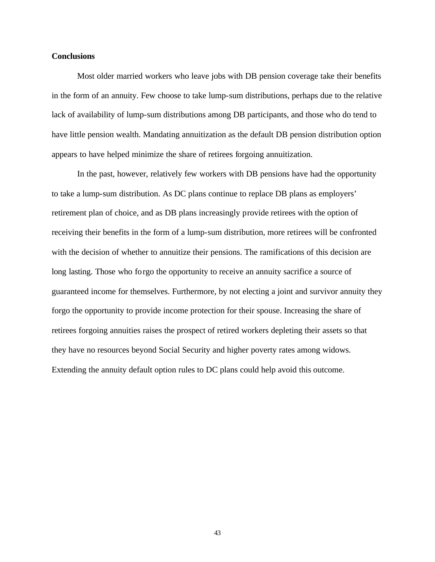#### **Conclusions**

Most older married workers who leave jobs with DB pension coverage take their benefits in the form of an annuity. Few choose to take lump-sum distributions, perhaps due to the relative lack of availability of lump-sum distributions among DB participants, and those who do tend to have little pension wealth. Mandating annuitization as the default DB pension distribution option appears to have helped minimize the share of retirees forgoing annuitization.

In the past, however, relatively few workers with DB pensions have had the opportunity to take a lump-sum distribution. As DC plans continue to replace DB plans as employers' retirement plan of choice, and as DB plans increasingly provide retirees with the option of receiving their benefits in the form of a lump-sum distribution, more retirees will be confronted with the decision of whether to annuitize their pensions. The ramifications of this decision are long lasting. Those who forgo the opportunity to receive an annuity sacrifice a source of guaranteed income for themselves. Furthermore, by not electing a joint and survivor annuity they forgo the opportunity to provide income protection for their spouse. Increasing the share of retirees forgoing annuities raises the prospect of retired workers depleting their assets so that they have no resources beyond Social Security and higher poverty rates among widows. Extending the annuity default option rules to DC plans could help avoid this outcome.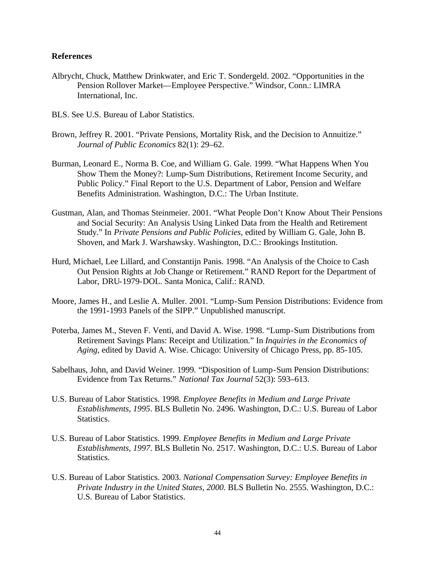#### **References**

- Albrycht, Chuck, Matthew Drinkwater, and Eric T. Sondergeld. 2002. "Opportunities in the Pension Rollover Market—Employee Perspective." Windsor, Conn.: LIMRA International, Inc.
- BLS. See U.S. Bureau of Labor Statistics.
- Brown, Jeffrey R. 2001. "Private Pensions, Mortality Risk, and the Decision to Annuitize." *Journal of Public Economics* 82(1): 29–62.
- Burman, Leonard E., Norma B. Coe, and William G. Gale. 1999. "What Happens When You Show Them the Money?: Lump-Sum Distributions, Retirement Income Security, and Public Policy." Final Report to the U.S. Department of Labor, Pension and Welfare Benefits Administration. Washington, D.C.: The Urban Institute.
- Gustman, Alan, and Thomas Steinmeier. 2001. "What People Don't Know About Their Pensions and Social Security: An Analysis Using Linked Data from the Health and Retirement Study." In *Private Pensions and Public Policies,* edited by William G. Gale, John B. Shoven, and Mark J. Warshawsky. Washington, D.C.: Brookings Institution.
- Hurd, Michael, Lee Lillard, and Constantijn Panis. 1998. "An Analysis of the Choice to Cash Out Pension Rights at Job Change or Retirement." RAND Report for the Department of Labor, DRU-1979-DOL. Santa Monica, Calif.: RAND.
- Moore, James H., and Leslie A. Muller. 2001. "Lump-Sum Pension Distributions: Evidence from the 1991-1993 Panels of the SIPP." Unpublished manuscript.
- Poterba, James M., Steven F. Venti, and David A. Wise. 1998. "Lump-Sum Distributions from Retirement Savings Plans: Receipt and Utilization." In *Inquiries in the Economics of Aging*, edited by David A. Wise. Chicago: University of Chicago Press, pp. 85-105.
- Sabelhaus, John, and David Weiner. 1999. "Disposition of Lump-Sum Pension Distributions: Evidence from Tax Returns." *National Tax Journal* 52(3): 593–613.
- U.S. Bureau of Labor Statistics. 1998. *Employee Benefits in Medium and Large Private Establishments, 1995*. BLS Bulletin No. 2496. Washington, D.C.: U.S. Bureau of Labor Statistics.
- U.S. Bureau of Labor Statistics. 1999. *Employee Benefits in Medium and Large Private Establishments, 1997*. BLS Bulletin No. 2517. Washington, D.C.: U.S. Bureau of Labor Statistics.
- U.S. Bureau of Labor Statistics. 2003. *National Compensation Survey: Employee Benefits in Private Industry in the United States, 2000.* BLS Bulletin No. 2555. Washington, D.C.: U.S. Bureau of Labor Statistics.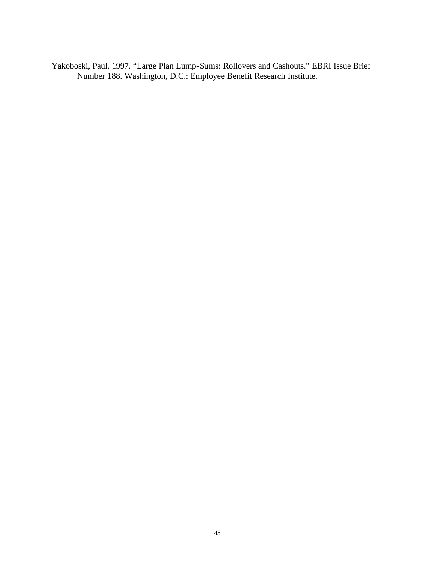Yakoboski, Paul. 1997. "Large Plan Lump-Sums: Rollovers and Cashouts." EBRI Issue Brief Number 188. Washington, D.C.: Employee Benefit Research Institute.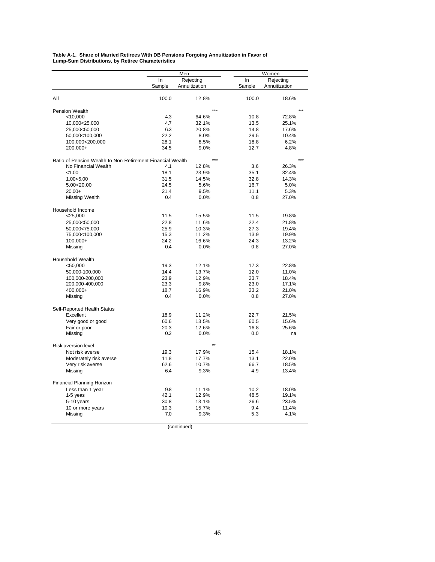#### **Table A-1. Share of Married Retirees With DB Pensions Forgoing Annuitization in Favor of Lump-Sum Distributions, by Retiree Characteristics**

|                                                            | Men         |               | Women       |                |
|------------------------------------------------------------|-------------|---------------|-------------|----------------|
|                                                            | In          | Rejecting     | In          | Rejecting      |
|                                                            | Sample      | Annuitization | Sample      | Annuitization  |
| All                                                        | 100.0       | 12.8%         | 100.0       | 18.6%          |
| Pension Wealth                                             |             |               |             |                |
| < 10,000                                                   | 4.3         | 64.6%         | 10.8        | 72.8%          |
| 10,000<25,000                                              | 4.7         | 32.1%         | 13.5        | 25.1%          |
| 25,000<50,000                                              | 6.3         | 20.8%         | 14.8        | 17.6%          |
| 50,000<100,000                                             | 22.2        | 8.0%          | 29.5        | 10.4%          |
| 100,000<200,000                                            | 28.1        | 8.5%          | 18.8        | 6.2%           |
| 200,000+                                                   | 34.5        | 9.0%          | 12.7        | 4.8%           |
| Ratio of Pension Wealth to Non-Retirement Financial Wealth |             | $***$         |             |                |
| No Financial Wealth                                        | 4.1         | 12.8%         | 3.6         | 26.3%          |
| < 1.00                                                     | 18.1        | 23.9%         | 35.1        | 32.4%          |
| 1.00<5.00                                                  | 31.5        | 14.5%         | 32.8        | 14.3%          |
| 5.00<20.00                                                 | 24.5        | 5.6%          | 16.7        | 5.0%           |
| $20.00+$                                                   | 21.4        | 9.5%          | 11.1        | 5.3%           |
| Missing Wealth                                             | 0.4         | 0.0%          | 0.8         | 27.0%          |
| Household Income                                           |             |               |             |                |
| $<$ 25,000                                                 | 11.5        | 15.5%         | 11.5        | 19.8%          |
| 25,000<50,000                                              | 22.8        | 11.6%         | 22.4        | 21.8%          |
| 50,000<75,000                                              | 25.9        | 10.3%         | 27.3        | 19.4%          |
| 75,000<100,000                                             | 15.3        | 11.2%         | 13.9        | 19.9%          |
| 100,000+                                                   | 24.2<br>0.4 | 16.6%<br>0.0% | 24.3<br>0.8 | 13.2%<br>27.0% |
| Missing                                                    |             |               |             |                |
| Household Wealth                                           |             |               |             |                |
| < 50,000                                                   | 19.3        | 12.1%         | 17.3        | 22.8%          |
| 50,000-100,000                                             | 14.4        | 13.7%         | 12.0        | 11.0%          |
| 100,000-200,000                                            | 23.9        | 12.9%         | 23.7        | 18.4%          |
| 200,000-400,000                                            | 23.3        | 9.8%          | 23.0        | 17.1%          |
| 400.000+                                                   | 18.7        | 16.9%         | 23.2        | 21.0%          |
| Missing                                                    | 0.4         | 0.0%          | 0.8         | 27.0%          |
| Self-Reported Health Status                                |             |               |             |                |
| Excellent                                                  | 18.9        | 11.2%         | 22.7        | 21.5%          |
| Very good or good                                          | 60.6        | 13.5%         | 60.5        | 15.6%          |
| Fair or poor                                               | 20.3        | 12.6%         | 16.8        | 25.6%          |
| Missing                                                    | 0.2         | 0.0%          | 0.0         | na             |
| <b>Risk aversion level</b>                                 |             |               |             |                |
| Not risk averse                                            | 19.3        | 17.9%         | 15.4        | 18.1%          |
| Moderately risk averse                                     | 11.8        | 17.7%         | 13.1        | 22.0%          |
| Very risk averse                                           | 62.6        | 10.7%         | 66.7        | 18.5%          |
| Missing                                                    | 6.4         | 9.3%          | 4.9         | 13.4%          |
| <b>Financial Planning Horizon</b>                          |             |               |             |                |
| Less than 1 year                                           | 9.8         | 11.1%         | 10.2        | 18.0%          |
| 1-5 yeas                                                   | 42.1        | 12.9%         | 48.5        | 19.1%          |
| 5-10 years                                                 | 30.8        | 13.1%         | 26.6        | 23.5%          |
| 10 or more years                                           | 10.3<br>7.0 | 15.7%<br>9.3% | 9.4<br>5.3  | 11.4%<br>4.1%  |
| Missing                                                    |             |               |             |                |

(continued)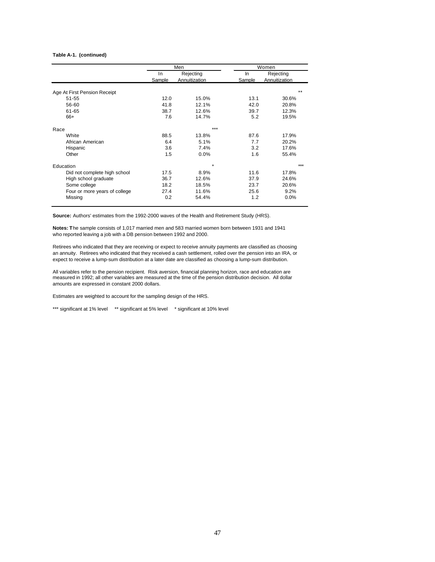#### **Table A-1. (continued)**

|                               |               | Men                        |              | Women                      |
|-------------------------------|---------------|----------------------------|--------------|----------------------------|
|                               | In.<br>Sample | Rejecting<br>Annuitization | In<br>Sample | Rejecting<br>Annuitization |
| Age At First Pension Receipt  |               |                            |              | $* *$                      |
| 51-55                         | 12.0          | 15.0%                      | 13.1         | 30.6%                      |
| 56-60                         | 41.8          | 12.1%                      | 42.0         | 20.8%                      |
| 61-65                         | 38.7          | 12.6%                      | 39.7         | 12.3%                      |
| $66+$                         | 7.6           | 14.7%                      | 5.2          | 19.5%                      |
| Race                          |               | ***                        |              |                            |
| White                         | 88.5          | 13.8%                      | 87.6         | 17.9%                      |
| African American              | 6.4           | 5.1%                       | 7.7          | 20.2%                      |
| Hispanic                      | 3.6           | 7.4%                       | 3.2          | 17.6%                      |
| Other                         | 1.5           | 0.0%                       | 1.6          | 55.4%                      |
| Education                     |               | $\star$                    |              | ***                        |
| Did not complete high school  | 17.5          | 8.9%                       | 11.6         | 17.8%                      |
| High school graduate          | 36.7          | 12.6%                      | 37.9         | 24.6%                      |
| Some college                  | 18.2          | 18.5%                      | 23.7         | 20.6%                      |
| Four or more years of college | 27.4          | 11.6%                      | 25.6         | 9.2%                       |
| Missing                       | 0.2           | 54.4%                      | 1.2          | 0.0%                       |

**Source:** Authors' estimates from the 1992-2000 waves of the Health and Retirement Study (HRS).

**Notes: T**he sample consists of 1,017 married men and 583 married women born between 1931 and 1941 who reported leaving a job with a DB pension between 1992 and 2000.

Retirees who indicated that they are receiving or expect to receive annuity payments are classified as choosing an annuity. Retirees who indicated that they received a cash settlement, rolled over the pension into an IRA, or expect to receive a lump-sum distribution at a later date are classified as choosing a lump-sum distribution.

All variables refer to the pension recipient. Risk aversion, financial planning horizon, race and education are measured in 1992; all other variables are measured at the time of the pension distribution decision. All dollar amounts are expressed in constant 2000 dollars.

Estimates are weighted to account for the sampling design of the HRS.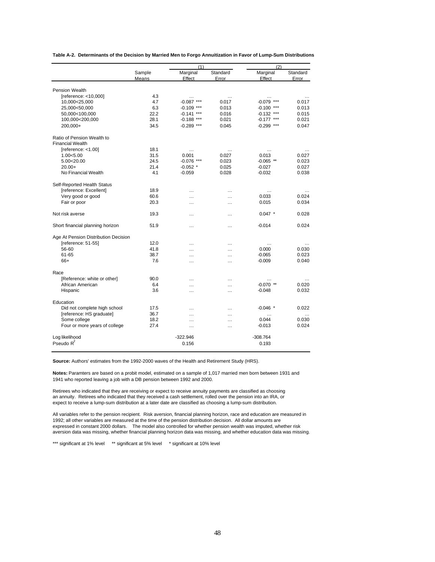|                                      |        | (1)          |          |                    | (2)               |  |
|--------------------------------------|--------|--------------|----------|--------------------|-------------------|--|
|                                      | Sample | Marginal     | Standard | Marginal           | Standard          |  |
|                                      | Means  | Effect       | Error    | Effect             | Error             |  |
| <b>Pension Wealth</b>                |        |              |          |                    |                   |  |
| [reference: <10,000]                 | 4.3    | $\cdots$     | $\cdots$ | $\cdots$           | $\cdots$          |  |
| 10,000<25,000                        | 4.7    | $-0.087$ *** | 0.017    | $-0.079$ ***       | 0.017             |  |
| 25,000<50,000                        | 6.3    | $-0.109$ *** | 0.013    | $-0.100$ ***       | 0.013             |  |
| 50,000<100,000                       | 22.2   | $-0.141$ *** | 0.016    | $-0.132$ ***       | 0.015             |  |
| 100,000<200,000                      | 28.1   | $-0.188$ *** | 0.021    | $-0.177$ ***       | 0.021             |  |
| 200,000+                             | 34.5   |              | 0.045    | $-0.299$ ***       | 0.047             |  |
|                                      |        | $-0.289$ *** |          |                    |                   |  |
| Ratio of Pension Wealth to           |        |              |          |                    |                   |  |
| <b>Financial Wealth</b>              |        |              |          |                    |                   |  |
| [reference: < 1.00]                  | 18.1   |              | $\cdots$ | $\cdots$           | $\cdots$          |  |
| 1.00<5.00                            | 31.5   | 0.001        | 0.027    | 0.013              | 0.027             |  |
| 5.00<20.00                           | 24.5   | $-0.076$ *** | 0.023    | $-0.065$ **        | 0.023             |  |
| $20.00+$                             | 21.4   | $-0.052$ *   | 0.025    | $-0.027$           | 0.027             |  |
| No Financial Wealth                  | 4.1    | $-0.059$     | 0.028    | $-0.032$           | 0.038             |  |
|                                      |        |              |          |                    |                   |  |
| Self-Reported Health Status          |        |              |          |                    |                   |  |
| [reference: Excellent]               | 18.9   |              |          | $\cdots$           |                   |  |
| Very good or good                    | 60.6   | .            | .        | 0.033              | 0.024             |  |
| Fair or poor                         | 20.3   | $\ddotsc$    | $\cdots$ | 0.015              | 0.034             |  |
| Not risk averse                      | 19.3   | .            |          | $0.047$ *          | 0.028             |  |
| Short financial planning horizon     | 51.9   |              |          | $-0.014$           | 0.024             |  |
| Age At Pension Distribution Decision |        |              |          |                    |                   |  |
| [reference: 51-55]                   | 12.0   | .            | .        | $\cdots$           | $\cdots$          |  |
| 56-60                                | 41.8   | $\ddotsc$    | $\cdots$ | 0.000              | 0.030             |  |
| 61-65                                | 38.7   | $\ddotsc$    | $\cdots$ | $-0.065$           | 0.023             |  |
| $66+$                                | 7.6    |              |          | $-0.009$           | 0.040             |  |
|                                      |        | $\cdots$     | $\cdots$ |                    |                   |  |
| Race                                 |        |              |          |                    |                   |  |
| [Reference: white or other]          | 90.0   | .            | $\cdots$ |                    |                   |  |
| African American                     | 6.4    | .            |          | $-0.070$ **        | 0.020             |  |
| Hispanic                             | 3.6    |              |          | $-0.048$           | 0.032             |  |
| Education                            |        |              |          |                    |                   |  |
| Did not complete high school         | 17.5   | $\ddotsc$    | $\cdots$ | $-0.046$ *         | 0.022             |  |
| [reference: HS graduate]             | 36.7   |              |          |                    |                   |  |
| Some college                         | 18.2   | $\ddotsc$    | $\cdots$ | $\ddotsc$<br>0.044 | $\cdots$<br>0.030 |  |
| Four or more years of college        | 27.4   | $\ddotsc$    | $\cdots$ | $-0.013$           | 0.024             |  |
|                                      |        | $\cdots$     | $\cdots$ |                    |                   |  |
| Log likelihood                       |        | $-322.946$   |          | $-308.764$         |                   |  |
| Pseudo $R^2$                         |        | 0.156        |          | 0.193              |                   |  |
|                                      |        |              |          |                    |                   |  |

**Table A-2. Determinants of the Decision by Married Men to Forgo Annuitization in Favor of Lump-Sum Distributions**

**Source:** Authors' estimates from the 1992-2000 waves of the Health and Retirement Study (HRS).

**Notes:** Paramters are based on a probit model, estimated on a sample of 1,017 married men born between 1931 and 1941 who reported leaving a job with a DB pension between 1992 and 2000.

Retirees who indicated that they are receiving or expect to receive annuity payments are classified as choosing an annuity. Retirees who indicated that they received a cash settlement, rolled over the pension into an IRA, or expect to receive a lump-sum distribution at a later date are classified as choosing a lump-sum distribution.

All variables refer to the pension recipient. Risk aversion, financial planning horizon, race and education are measured in 1992; all other variables are measured at the time of the pension distribution decision. All dollar amounts are expressed in constant 2000 dollars. The model also controlled for whether pension wealth was imputed, whether risk aversion data was missing, whether financial planning horizon data was missing, and whether education data was missing.